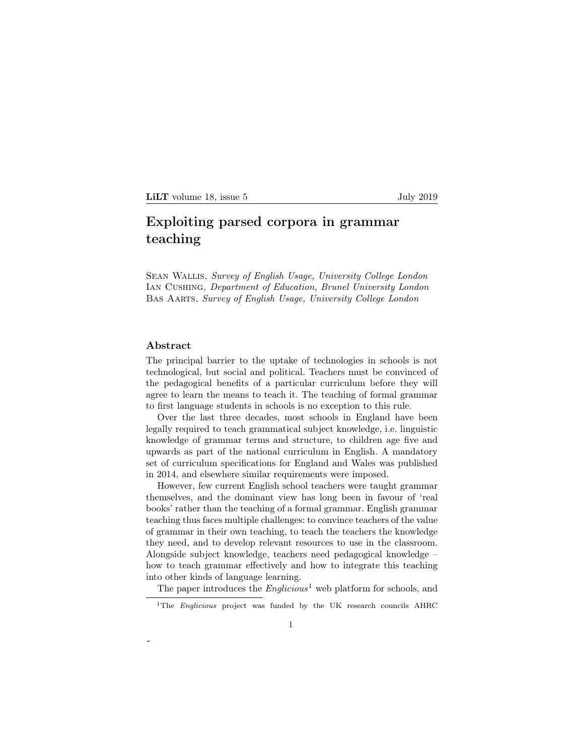# Exploiting parsed corpora in grammar teaching

Sean Wallis, *Survey of English Usage, University College London* Ian Cushing, *Department of Education, Brunel University London* Bas Aarts, *Survey of English Usage, University College London*

## Abstract

-

The principal barrier to the uptake of technologies in schools is not technological, but social and political. Teachers must be convinced of the pedagogical benefits of a particular curriculum before they will agree to learn the means to teach it. The teaching of formal grammar to first language students in schools is no exception to this rule.

Over the last three decades, most schools in England have been legally required to teach grammatical subject knowledge, i.e. linguistic knowledge of grammar terms and structure, to children age five and upwards as part of the national curriculum in English. A mandatory set of curriculum specifications for England and Wales was published in 2014, and elsewhere similar requirements were imposed.

However, few current English school teachers were taught grammar themselves, and the dominant view has long been in favour of 'real books' rather than the teaching of a formal grammar. English grammar teaching thus faces multiple challenges: to convince teachers of the value of grammar in their own teaching, to teach the teachers the knowledge they need, and to develop relevant resources to use in the classroom. Alongside subject knowledge, teachers need pedagogical knowledge – how to teach grammar effectively and how to integrate this teaching into other kinds of language learning.

The paper introduces the *Englicious*<sup>1</sup> web platform for schools, and

<sup>&</sup>lt;sup>1</sup>The *Englicious* project was funded by the UK research councils AHRC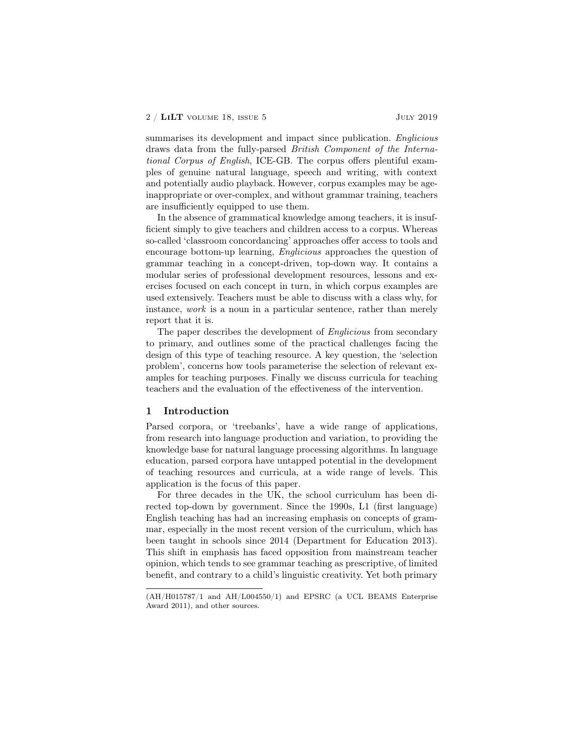summarises its development and impact since publication. *Englicious* draws data from the fully-parsed *British Component of the International Corpus of English*, ICE-GB. The corpus offers plentiful examples of genuine natural language, speech and writing, with context and potentially audio playback. However, corpus examples may be ageinappropriate or over-complex, and without grammar training, teachers are insufficiently equipped to use them.

In the absence of grammatical knowledge among teachers, it is insufficient simply to give teachers and children access to a corpus. Whereas so-called 'classroom concordancing' approaches offer access to tools and encourage bottom-up learning, *Englicious* approaches the question of grammar teaching in a concept-driven, top-down way. It contains a modular series of professional development resources, lessons and exercises focused on each concept in turn, in which corpus examples are used extensively. Teachers must be able to discuss with a class why, for instance, *work* is a noun in a particular sentence, rather than merely report that it is.

The paper describes the development of *Englicious* from secondary to primary, and outlines some of the practical challenges facing the design of this type of teaching resource. A key question, the 'selection problem', concerns how tools parameterise the selection of relevant examples for teaching purposes. Finally we discuss curricula for teaching teachers and the evaluation of the effectiveness of the intervention.

## 1 Introduction

Parsed corpora, or 'treebanks', have a wide range of applications, from research into language production and variation, to providing the knowledge base for natural language processing algorithms. In language education, parsed corpora have untapped potential in the development of teaching resources and curricula, at a wide range of levels. This application is the focus of this paper.

For three decades in the UK, the school curriculum has been directed top-down by government. Since the 1990s, L1 (first language) English teaching has had an increasing emphasis on concepts of grammar, especially in the most recent version of the curriculum, which has been taught in schools since 2014 (Department for Education 2013). This shift in emphasis has faced opposition from mainstream teacher opinion, which tends to see grammar teaching as prescriptive, of limited benefit, and contrary to a child's linguistic creativity. Yet both primary

<sup>(</sup>AH/H015787/1 and AH/L004550/1) and EPSRC (a UCL BEAMS Enterprise Award 2011), and other sources.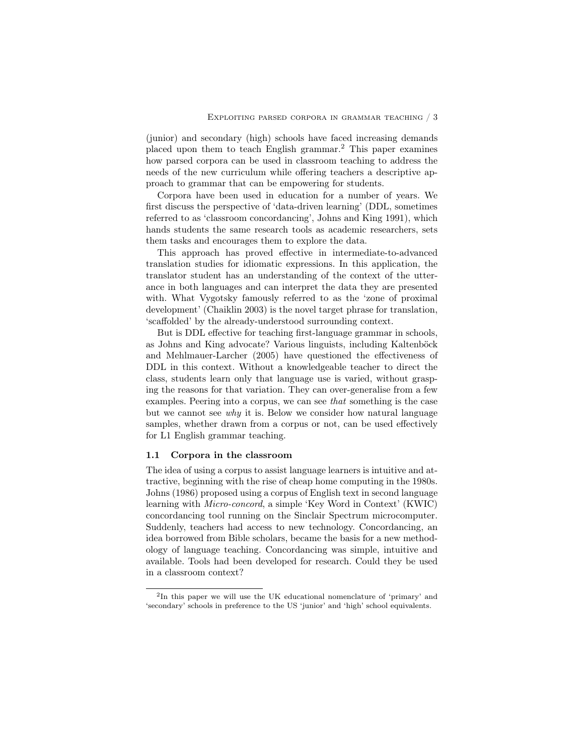(junior) and secondary (high) schools have faced increasing demands placed upon them to teach English grammar.<sup>2</sup> This paper examines how parsed corpora can be used in classroom teaching to address the needs of the new curriculum while offering teachers a descriptive approach to grammar that can be empowering for students.

Corpora have been used in education for a number of years. We first discuss the perspective of 'data-driven learning' (DDL, sometimes referred to as 'classroom concordancing', Johns and King 1991), which hands students the same research tools as academic researchers, sets them tasks and encourages them to explore the data.

This approach has proved effective in intermediate-to-advanced translation studies for idiomatic expressions. In this application, the translator student has an understanding of the context of the utterance in both languages and can interpret the data they are presented with. What Vygotsky famously referred to as the 'zone of proximal development' (Chaiklin 2003) is the novel target phrase for translation, 'scaffolded' by the already-understood surrounding context.

But is DDL effective for teaching first-language grammar in schools, as Johns and King advocate? Various linguists, including Kaltenböck and Mehlmauer-Larcher (2005) have questioned the effectiveness of DDL in this context. Without a knowledgeable teacher to direct the class, students learn only that language use is varied, without grasping the reasons for that variation. They can over-generalise from a few examples. Peering into a corpus, we can see *that* something is the case but we cannot see *why* it is. Below we consider how natural language samples, whether drawn from a corpus or not, can be used effectively for L1 English grammar teaching.

## 1.1 Corpora in the classroom

The idea of using a corpus to assist language learners is intuitive and attractive, beginning with the rise of cheap home computing in the 1980s. Johns (1986) proposed using a corpus of English text in second language learning with *Micro-concord*, a simple 'Key Word in Context' (KWIC) concordancing tool running on the Sinclair Spectrum microcomputer. Suddenly, teachers had access to new technology. Concordancing, an idea borrowed from Bible scholars, became the basis for a new methodology of language teaching. Concordancing was simple, intuitive and available. Tools had been developed for research. Could they be used in a classroom context?

<sup>2</sup>In this paper we will use the UK educational nomenclature of 'primary' and 'secondary' schools in preference to the US 'junior' and 'high' school equivalents.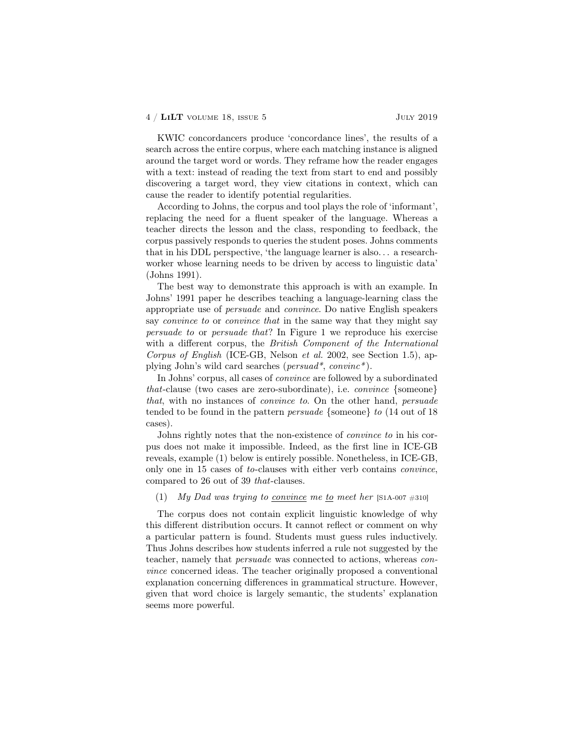KWIC concordancers produce 'concordance lines', the results of a search across the entire corpus, where each matching instance is aligned around the target word or words. They reframe how the reader engages with a text: instead of reading the text from start to end and possibly discovering a target word, they view citations in context, which can cause the reader to identify potential regularities.

According to Johns, the corpus and tool plays the role of 'informant', replacing the need for a fluent speaker of the language. Whereas a teacher directs the lesson and the class, responding to feedback, the corpus passively responds to queries the student poses. Johns comments that in his DDL perspective, 'the language learner is also. . . a researchworker whose learning needs to be driven by access to linguistic data' (Johns 1991).

The best way to demonstrate this approach is with an example. In Johns' 1991 paper he describes teaching a language-learning class the appropriate use of *persuade* and *convince*. Do native English speakers say *convince to* or *convince that* in the same way that they might say *persuade to* or *persuade that*? In Figure 1 we reproduce his exercise with a different corpus, the *British Component of the International Corpus of English* (ICE-GB, Nelson *et al.* 2002, see Section 1.5), applying John's wild card searches (*persuad\**, *convinc\** ).

In Johns' corpus, all cases of *convince* are followed by a subordinated *that*-clause (two cases are zero-subordinate), i.e. *convince* {someone} *that*, with no instances of *convince to*. On the other hand, *persuade* tended to be found in the pattern *persuade* {someone} *to* (14 out of 18 cases).

Johns rightly notes that the non-existence of *convince to* in his corpus does not make it impossible. Indeed, as the first line in ICE-GB reveals, example (1) below is entirely possible. Nonetheless, in ICE-GB, only one in 15 cases of *to*-clauses with either verb contains *convince*, compared to 26 out of 39 *that*-clauses.

## (1) *My Dad was trying to <u>convince</u> me to meet her* [S1A-007  $\#310$ ]

The corpus does not contain explicit linguistic knowledge of why this different distribution occurs. It cannot reflect or comment on why a particular pattern is found. Students must guess rules inductively. Thus Johns describes how students inferred a rule not suggested by the teacher, namely that *persuade* was connected to actions, whereas *convince* concerned ideas. The teacher originally proposed a conventional explanation concerning differences in grammatical structure. However, given that word choice is largely semantic, the students' explanation seems more powerful.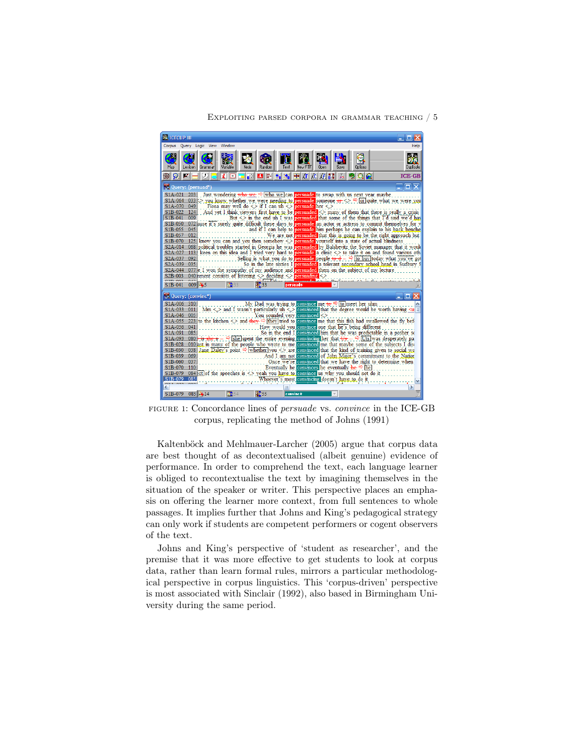#### Exploiting parsed corpora in grammar teaching / 5



FIGURE 1: Concordance lines of *persuade* vs. *convince* in the ICE-GB corpus, replicating the method of Johns (1991)

Kaltenböck and Mehlmauer-Larcher (2005) argue that corpus data are best thought of as decontextualised (albeit genuine) evidence of performance. In order to comprehend the text, each language learner is obliged to recontextualise the text by imagining themselves in the situation of the speaker or writer. This perspective places an emphasis on offering the learner more context, from full sentences to whole passages. It implies further that Johns and King's pedagogical strategy can only work if students are competent performers or cogent observers of the text.

Johns and King's perspective of 'student as researcher', and the premise that it was more effective to get students to look at corpus data, rather than learn formal rules, mirrors a particular methodological perspective in corpus linguistics. This 'corpus-driven' perspective is most associated with Sinclair (1992), also based in Birmingham University during the same period.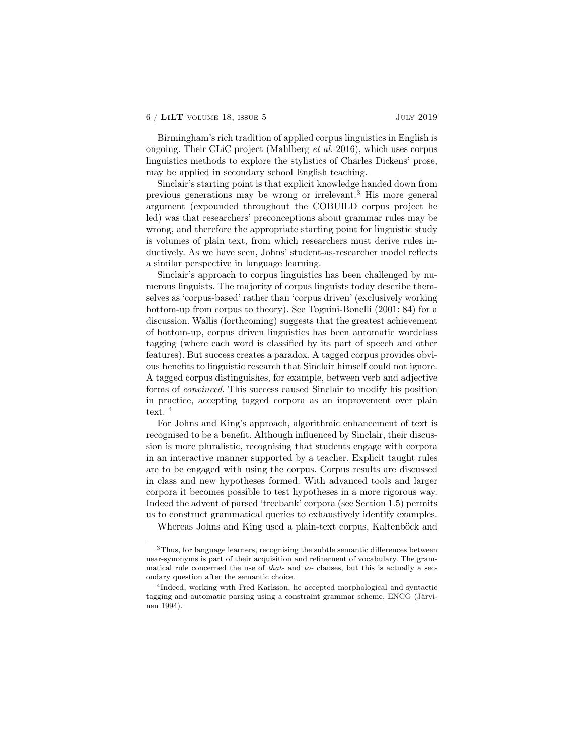Birmingham's rich tradition of applied corpus linguistics in English is ongoing. Their CLiC project (Mahlberg *et al.* 2016), which uses corpus linguistics methods to explore the stylistics of Charles Dickens' prose, may be applied in secondary school English teaching.

Sinclair's starting point is that explicit knowledge handed down from previous generations may be wrong or irrelevant.<sup>3</sup> His more general argument (expounded throughout the COBUILD corpus project he led) was that researchers' preconceptions about grammar rules may be wrong, and therefore the appropriate starting point for linguistic study is volumes of plain text, from which researchers must derive rules inductively. As we have seen, Johns' student-as-researcher model reflects a similar perspective in language learning.

Sinclair's approach to corpus linguistics has been challenged by numerous linguists. The majority of corpus linguists today describe themselves as 'corpus-based' rather than 'corpus driven' (exclusively working bottom-up from corpus to theory). See Tognini-Bonelli (2001: 84) for a discussion. Wallis (forthcoming) suggests that the greatest achievement of bottom-up, corpus driven linguistics has been automatic wordclass tagging (where each word is classified by its part of speech and other features). But success creates a paradox. A tagged corpus provides obvious benefits to linguistic research that Sinclair himself could not ignore. A tagged corpus distinguishes, for example, between verb and adjective forms of *convinced*. This success caused Sinclair to modify his position in practice, accepting tagged corpora as an improvement over plain text. <sup>4</sup>

For Johns and King's approach, algorithmic enhancement of text is recognised to be a benefit. Although influenced by Sinclair, their discussion is more pluralistic, recognising that students engage with corpora in an interactive manner supported by a teacher. Explicit taught rules are to be engaged with using the corpus. Corpus results are discussed in class and new hypotheses formed. With advanced tools and larger corpora it becomes possible to test hypotheses in a more rigorous way. Indeed the advent of parsed 'treebank' corpora (see Section 1.5) permits us to construct grammatical queries to exhaustively identify examples.

Whereas Johns and King used a plain-text corpus, Kaltenböck and

<sup>3</sup>Thus, for language learners, recognising the subtle semantic differences between near-synonyms is part of their acquisition and refinement of vocabulary. The grammatical rule concerned the use of *that-* and *to-* clauses, but this is actually a secondary question after the semantic choice.

<sup>4</sup>Indeed, working with Fred Karlsson, he accepted morphological and syntactic tagging and automatic parsing using a constraint grammar scheme, ENCG (Järvinen 1994).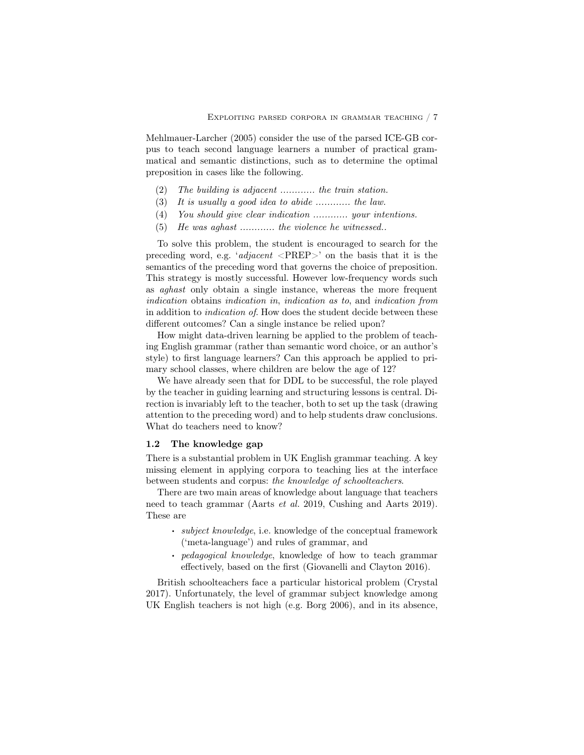Mehlmauer-Larcher (2005) consider the use of the parsed ICE-GB corpus to teach second language learners a number of practical grammatical and semantic distinctions, such as to determine the optimal preposition in cases like the following.

- (2) *The building is adjacent ............ the train station.*
- (3) *It is usually a good idea to abide ............ the law.*
- (4) *You should give clear indication ............ your intentions.*
- (5) *He was aghast ............ the violence he witnessed..*

To solve this problem, the student is encouraged to search for the preceding word, e.g. '*adjacent* <PREP>' on the basis that it is the semantics of the preceding word that governs the choice of preposition. This strategy is mostly successful. However low-frequency words such as *aghast* only obtain a single instance, whereas the more frequent *indication* obtains *indication in*, *indication as to*, and *indication from* in addition to *indication of*. How does the student decide between these different outcomes? Can a single instance be relied upon?

How might data-driven learning be applied to the problem of teaching English grammar (rather than semantic word choice, or an author's style) to first language learners? Can this approach be applied to primary school classes, where children are below the age of 12?

We have already seen that for DDL to be successful, the role played by the teacher in guiding learning and structuring lessons is central. Direction is invariably left to the teacher, both to set up the task (drawing attention to the preceding word) and to help students draw conclusions. What do teachers need to know?

## 1.2 The knowledge gap

There is a substantial problem in UK English grammar teaching. A key missing element in applying corpora to teaching lies at the interface between students and corpus: *the knowledge of schoolteachers*.

There are two main areas of knowledge about language that teachers need to teach grammar (Aarts *et al.* 2019, Cushing and Aarts 2019). These are

- . *subject knowledge*, i.e. knowledge of the conceptual framework ('meta-language') and rules of grammar, and
- . *pedagogical knowledge*, knowledge of how to teach grammar effectively, based on the first (Giovanelli and Clayton 2016).

British schoolteachers face a particular historical problem (Crystal 2017). Unfortunately, the level of grammar subject knowledge among UK English teachers is not high (e.g. Borg 2006), and in its absence,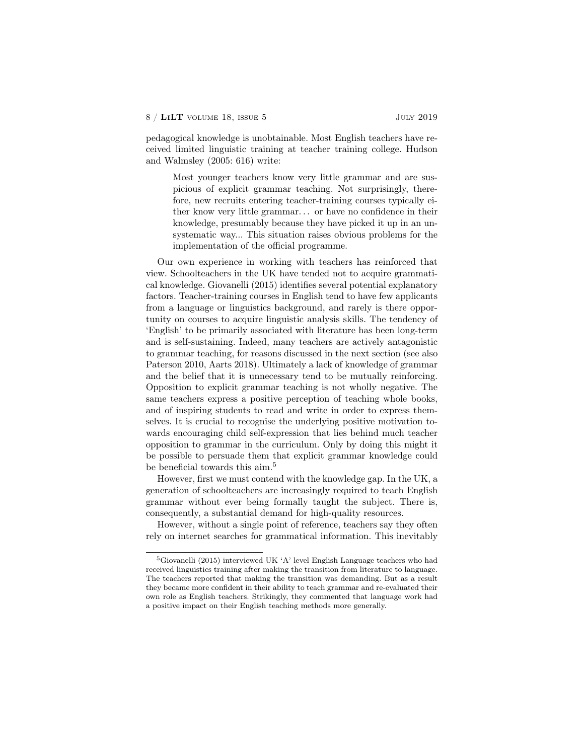pedagogical knowledge is unobtainable. Most English teachers have received limited linguistic training at teacher training college. Hudson and Walmsley (2005: 616) write:

Most younger teachers know very little grammar and are suspicious of explicit grammar teaching. Not surprisingly, therefore, new recruits entering teacher-training courses typically either know very little grammar. . . or have no confidence in their knowledge, presumably because they have picked it up in an unsystematic way... This situation raises obvious problems for the implementation of the official programme.

Our own experience in working with teachers has reinforced that view. Schoolteachers in the UK have tended not to acquire grammatical knowledge. Giovanelli (2015) identifies several potential explanatory factors. Teacher-training courses in English tend to have few applicants from a language or linguistics background, and rarely is there opportunity on courses to acquire linguistic analysis skills. The tendency of 'English' to be primarily associated with literature has been long-term and is self-sustaining. Indeed, many teachers are actively antagonistic to grammar teaching, for reasons discussed in the next section (see also Paterson 2010, Aarts 2018). Ultimately a lack of knowledge of grammar and the belief that it is unnecessary tend to be mutually reinforcing. Opposition to explicit grammar teaching is not wholly negative. The same teachers express a positive perception of teaching whole books, and of inspiring students to read and write in order to express themselves. It is crucial to recognise the underlying positive motivation towards encouraging child self-expression that lies behind much teacher opposition to grammar in the curriculum. Only by doing this might it be possible to persuade them that explicit grammar knowledge could be beneficial towards this aim.<sup>5</sup>

However, first we must contend with the knowledge gap. In the UK, a generation of schoolteachers are increasingly required to teach English grammar without ever being formally taught the subject. There is, consequently, a substantial demand for high-quality resources.

However, without a single point of reference, teachers say they often rely on internet searches for grammatical information. This inevitably

<sup>5</sup>Giovanelli (2015) interviewed UK 'A' level English Language teachers who had received linguistics training after making the transition from literature to language. The teachers reported that making the transition was demanding. But as a result they became more confident in their ability to teach grammar and re-evaluated their own role as English teachers. Strikingly, they commented that language work had a positive impact on their English teaching methods more generally.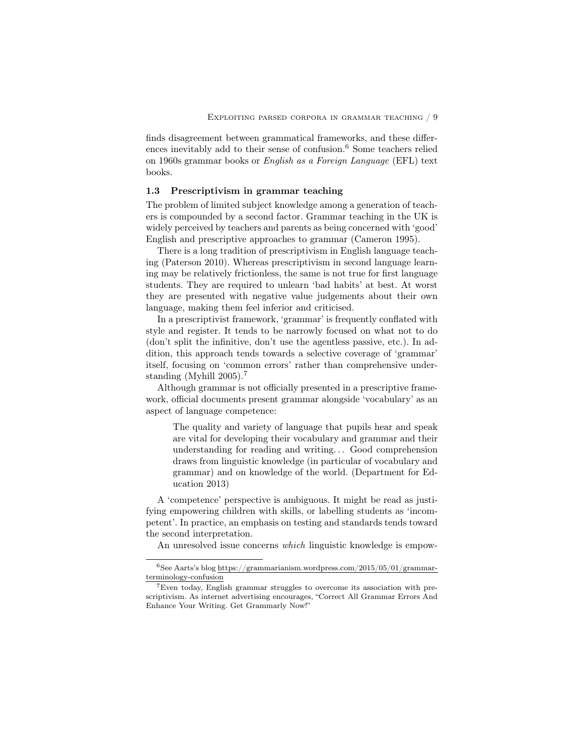finds disagreement between grammatical frameworks, and these differences inevitably add to their sense of confusion.<sup>6</sup> Some teachers relied on 1960s grammar books or *English as a Foreign Language* (EFL) text books.

## 1.3 Prescriptivism in grammar teaching

The problem of limited subject knowledge among a generation of teachers is compounded by a second factor. Grammar teaching in the UK is widely perceived by teachers and parents as being concerned with 'good' English and prescriptive approaches to grammar (Cameron 1995).

There is a long tradition of prescriptivism in English language teaching (Paterson 2010). Whereas prescriptivism in second language learning may be relatively frictionless, the same is not true for first language students. They are required to unlearn 'bad habits' at best. At worst they are presented with negative value judgements about their own language, making them feel inferior and criticised.

In a prescriptivist framework, 'grammar' is frequently conflated with style and register. It tends to be narrowly focused on what not to do (don't split the infinitive, don't use the agentless passive, etc.). In addition, this approach tends towards a selective coverage of 'grammar' itself, focusing on 'common errors' rather than comprehensive understanding (Myhill 2005).<sup>7</sup>

Although grammar is not officially presented in a prescriptive framework, official documents present grammar alongside 'vocabulary' as an aspect of language competence:

The quality and variety of language that pupils hear and speak are vital for developing their vocabulary and grammar and their understanding for reading and writing... Good comprehension draws from linguistic knowledge (in particular of vocabulary and grammar) and on knowledge of the world. (Department for Education 2013)

A 'competence' perspective is ambiguous. It might be read as justifying empowering children with skills, or labelling students as 'incompetent'. In practice, an emphasis on testing and standards tends toward the second interpretation.

An unresolved issue concerns *which* linguistic knowledge is empow-

 $^6{\rm See}$ Aarts's blog https://grammarianism.wordpress.com/2015/05/01/grammarterminology-confusion

<sup>7</sup>Even today, English grammar struggles to overcome its association with prescriptivism. As internet advertising encourages, "Correct All Grammar Errors And Enhance Your Writing. Get Grammarly Now!"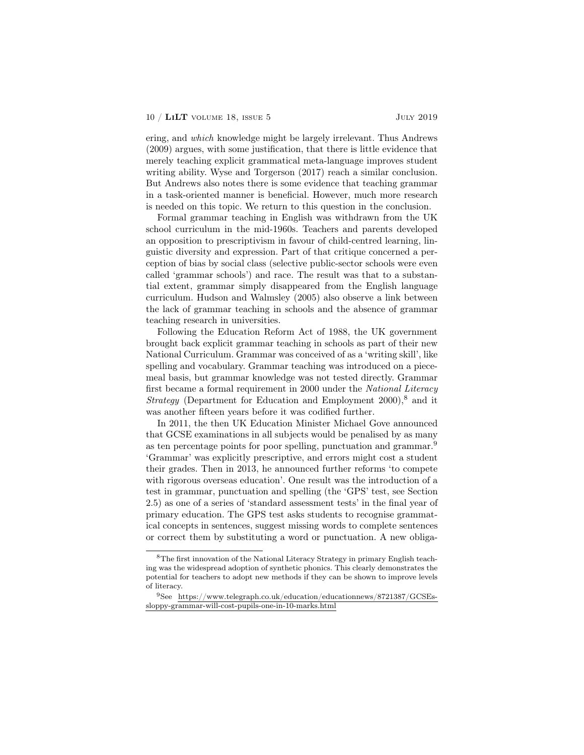ering, and *which* knowledge might be largely irrelevant. Thus Andrews (2009) argues, with some justification, that there is little evidence that merely teaching explicit grammatical meta-language improves student writing ability. Wyse and Torgerson (2017) reach a similar conclusion. But Andrews also notes there is some evidence that teaching grammar in a task-oriented manner is beneficial. However, much more research is needed on this topic. We return to this question in the conclusion.

Formal grammar teaching in English was withdrawn from the UK school curriculum in the mid-1960s. Teachers and parents developed an opposition to prescriptivism in favour of child-centred learning, linguistic diversity and expression. Part of that critique concerned a perception of bias by social class (selective public-sector schools were even called 'grammar schools') and race. The result was that to a substantial extent, grammar simply disappeared from the English language curriculum. Hudson and Walmsley (2005) also observe a link between the lack of grammar teaching in schools and the absence of grammar teaching research in universities.

Following the Education Reform Act of 1988, the UK government brought back explicit grammar teaching in schools as part of their new National Curriculum. Grammar was conceived of as a 'writing skill', like spelling and vocabulary. Grammar teaching was introduced on a piecemeal basis, but grammar knowledge was not tested directly. Grammar first became a formal requirement in 2000 under the *National Literacy Strategy* (Department for Education and Employment 2000),<sup>8</sup> and it was another fifteen years before it was codified further.

In 2011, the then UK Education Minister Michael Gove announced that GCSE examinations in all subjects would be penalised by as many as ten percentage points for poor spelling, punctuation and grammar.<sup>9</sup> 'Grammar' was explicitly prescriptive, and errors might cost a student their grades. Then in 2013, he announced further reforms 'to compete with rigorous overseas education'. One result was the introduction of a test in grammar, punctuation and spelling (the 'GPS' test, see Section 2.5) as one of a series of 'standard assessment tests' in the final year of primary education. The GPS test asks students to recognise grammatical concepts in sentences, suggest missing words to complete sentences or correct them by substituting a word or punctuation. A new obliga-

<sup>8</sup>The first innovation of the National Literacy Strategy in primary English teaching was the widespread adoption of synthetic phonics. This clearly demonstrates the potential for teachers to adopt new methods if they can be shown to improve levels of literacy.

 $^{9}$ See https://www.telegraph.co.uk/education/educationnews/8721387/GCSEssloppy-grammar-will-cost-pupils-one-in-10-marks.html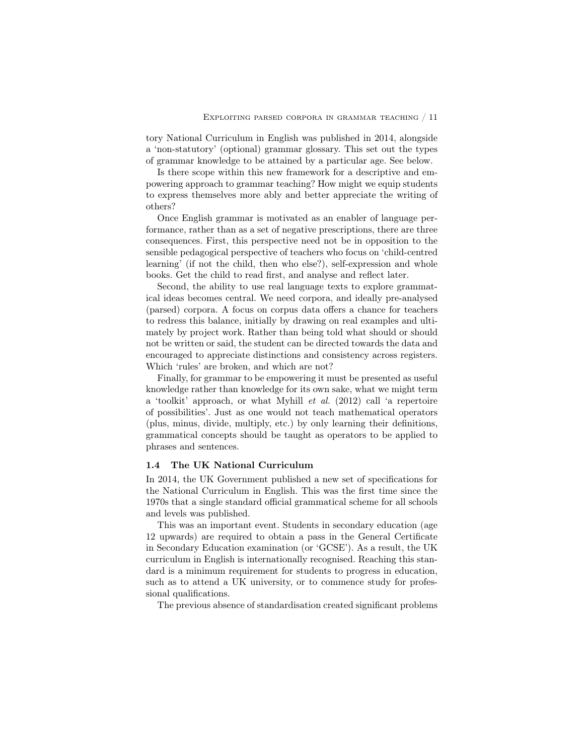tory National Curriculum in English was published in 2014, alongside a 'non-statutory' (optional) grammar glossary. This set out the types of grammar knowledge to be attained by a particular age. See below.

Is there scope within this new framework for a descriptive and empowering approach to grammar teaching? How might we equip students to express themselves more ably and better appreciate the writing of others?

Once English grammar is motivated as an enabler of language performance, rather than as a set of negative prescriptions, there are three consequences. First, this perspective need not be in opposition to the sensible pedagogical perspective of teachers who focus on 'child-centred learning' (if not the child, then who else?), self-expression and whole books. Get the child to read first, and analyse and reflect later.

Second, the ability to use real language texts to explore grammatical ideas becomes central. We need corpora, and ideally pre-analysed (parsed) corpora. A focus on corpus data offers a chance for teachers to redress this balance, initially by drawing on real examples and ultimately by project work. Rather than being told what should or should not be written or said, the student can be directed towards the data and encouraged to appreciate distinctions and consistency across registers. Which 'rules' are broken, and which are not?

Finally, for grammar to be empowering it must be presented as useful knowledge rather than knowledge for its own sake, what we might term a 'toolkit' approach, or what Myhill *et al.* (2012) call 'a repertoire of possibilities'. Just as one would not teach mathematical operators (plus, minus, divide, multiply, etc.) by only learning their definitions, grammatical concepts should be taught as operators to be applied to phrases and sentences.

## 1.4 The UK National Curriculum

In 2014, the UK Government published a new set of specifications for the National Curriculum in English. This was the first time since the 1970s that a single standard official grammatical scheme for all schools and levels was published.

This was an important event. Students in secondary education (age 12 upwards) are required to obtain a pass in the General Certificate in Secondary Education examination (or 'GCSE'). As a result, the UK curriculum in English is internationally recognised. Reaching this standard is a minimum requirement for students to progress in education, such as to attend a UK university, or to commence study for professional qualifications.

The previous absence of standardisation created significant problems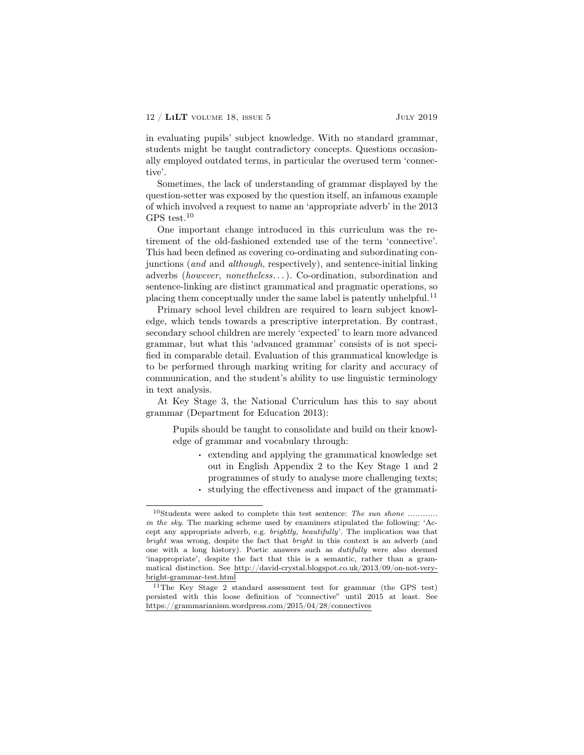in evaluating pupils' subject knowledge. With no standard grammar, students might be taught contradictory concepts. Questions occasionally employed outdated terms, in particular the overused term 'connective'.

Sometimes, the lack of understanding of grammar displayed by the question-setter was exposed by the question itself, an infamous example of which involved a request to name an 'appropriate adverb' in the 2013 GPS test.<sup>10</sup>

One important change introduced in this curriculum was the retirement of the old-fashioned extended use of the term 'connective'. This had been defined as covering co-ordinating and subordinating conjunctions (*and* and *although*, respectively), and sentence-initial linking adverbs (*however*, *nonetheless*. . . ). Co-ordination, subordination and sentence-linking are distinct grammatical and pragmatic operations, so placing them conceptually under the same label is patently unhelpful.<sup>11</sup>

Primary school level children are required to learn subject knowledge, which tends towards a prescriptive interpretation. By contrast, secondary school children are merely 'expected' to learn more advanced grammar, but what this 'advanced grammar' consists of is not specified in comparable detail. Evaluation of this grammatical knowledge is to be performed through marking writing for clarity and accuracy of communication, and the student's ability to use linguistic terminology in text analysis.

At Key Stage 3, the National Curriculum has this to say about grammar (Department for Education 2013):

Pupils should be taught to consolidate and build on their knowledge of grammar and vocabulary through:

- . extending and applying the grammatical knowledge set out in English Appendix 2 to the Key Stage 1 and 2 programmes of study to analyse more challenging texts;
- . studying the effectiveness and impact of the grammati-

<sup>10</sup>Students were asked to complete this test sentence: *The sun shone ............ in the sky.* The marking scheme used by examiners stipulated the following: 'Accept any appropriate adverb, e.g. *brightly, beautifully*'. The implication was that *bright* was wrong, despite the fact that *bright* in this context is an adverb (and one with a long history). Poetic answers such as *dutifully* were also deemed 'inappropriate', despite the fact that this is a semantic, rather than a grammatical distinction. See http://david-crystal.blogspot.co.uk/2013/09/on-not-verybright-grammar-test.html

 $^{11}\mathrm{The}$  Key Stage 2 standard assessment test for grammar (the GPS test) persisted with this loose definition of "connective" until 2015 at least. See https://grammarianism.wordpress.com/2015/04/28/connectives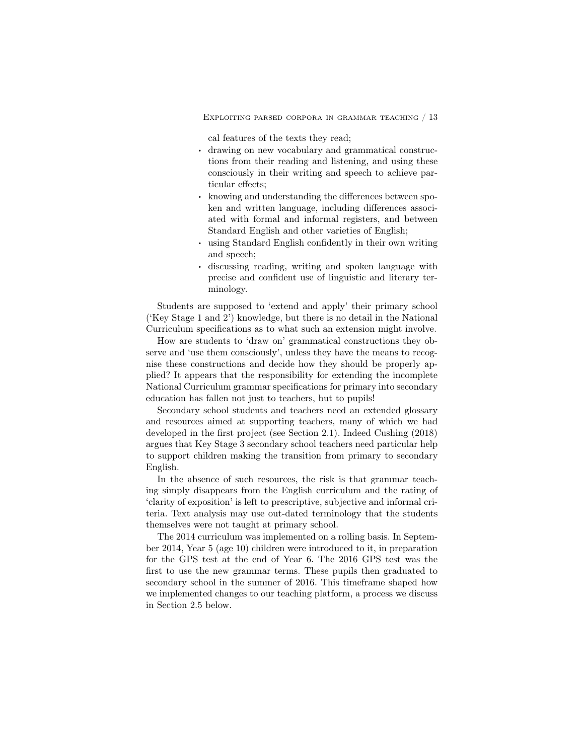Exploiting parsed corpora in grammar teaching / 13

cal features of the texts they read;

- . drawing on new vocabulary and grammatical constructions from their reading and listening, and using these consciously in their writing and speech to achieve particular effects;
- . knowing and understanding the differences between spoken and written language, including differences associated with formal and informal registers, and between Standard English and other varieties of English;
- . using Standard English confidently in their own writing and speech;
- . discussing reading, writing and spoken language with precise and confident use of linguistic and literary terminology.

Students are supposed to 'extend and apply' their primary school ('Key Stage 1 and 2') knowledge, but there is no detail in the National Curriculum specifications as to what such an extension might involve.

How are students to 'draw on' grammatical constructions they observe and 'use them consciously', unless they have the means to recognise these constructions and decide how they should be properly applied? It appears that the responsibility for extending the incomplete National Curriculum grammar specifications for primary into secondary education has fallen not just to teachers, but to pupils!

Secondary school students and teachers need an extended glossary and resources aimed at supporting teachers, many of which we had developed in the first project (see Section 2.1). Indeed Cushing (2018) argues that Key Stage 3 secondary school teachers need particular help to support children making the transition from primary to secondary English.

In the absence of such resources, the risk is that grammar teaching simply disappears from the English curriculum and the rating of 'clarity of exposition' is left to prescriptive, subjective and informal criteria. Text analysis may use out-dated terminology that the students themselves were not taught at primary school.

The 2014 curriculum was implemented on a rolling basis. In September 2014, Year 5 (age 10) children were introduced to it, in preparation for the GPS test at the end of Year 6. The 2016 GPS test was the first to use the new grammar terms. These pupils then graduated to secondary school in the summer of 2016. This timeframe shaped how we implemented changes to our teaching platform, a process we discuss in Section 2.5 below.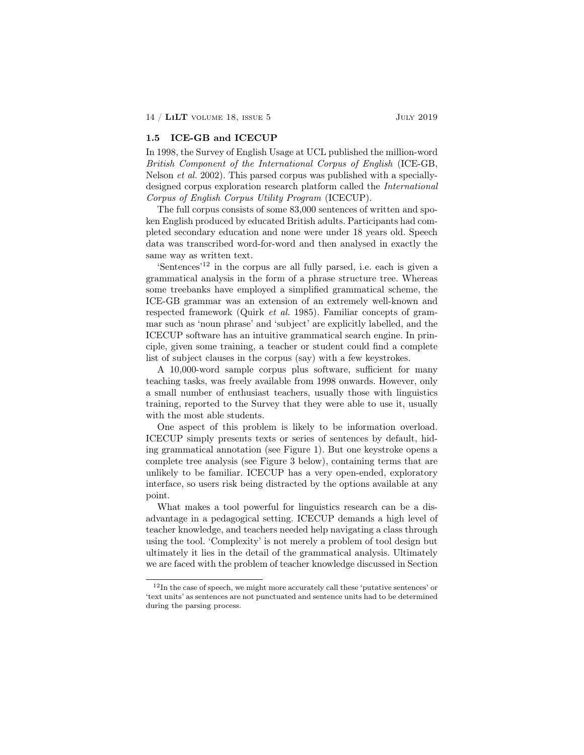## 1.5 ICE-GB and ICECUP

In 1998, the Survey of English Usage at UCL published the million-word *British Component of the International Corpus of English* (ICE-GB, Nelson *et al.* 2002). This parsed corpus was published with a speciallydesigned corpus exploration research platform called the *International Corpus of English Corpus Utility Program* (ICECUP).

The full corpus consists of some 83,000 sentences of written and spoken English produced by educated British adults. Participants had completed secondary education and none were under 18 years old. Speech data was transcribed word-for-word and then analysed in exactly the same way as written text.

'Sentences'<sup>12</sup> in the corpus are all fully parsed, i.e. each is given a grammatical analysis in the form of a phrase structure tree. Whereas some treebanks have employed a simplified grammatical scheme, the ICE-GB grammar was an extension of an extremely well-known and respected framework (Quirk *et al.* 1985). Familiar concepts of grammar such as 'noun phrase' and 'subject' are explicitly labelled, and the ICECUP software has an intuitive grammatical search engine. In principle, given some training, a teacher or student could find a complete list of subject clauses in the corpus (say) with a few keystrokes.

A 10,000-word sample corpus plus software, sufficient for many teaching tasks, was freely available from 1998 onwards. However, only a small number of enthusiast teachers, usually those with linguistics training, reported to the Survey that they were able to use it, usually with the most able students.

One aspect of this problem is likely to be information overload. ICECUP simply presents texts or series of sentences by default, hiding grammatical annotation (see Figure 1). But one keystroke opens a complete tree analysis (see Figure 3 below), containing terms that are unlikely to be familiar. ICECUP has a very open-ended, exploratory interface, so users risk being distracted by the options available at any point.

What makes a tool powerful for linguistics research can be a disadvantage in a pedagogical setting. ICECUP demands a high level of teacher knowledge, and teachers needed help navigating a class through using the tool. 'Complexity' is not merely a problem of tool design but ultimately it lies in the detail of the grammatical analysis. Ultimately we are faced with the problem of teacher knowledge discussed in Section

<sup>12</sup>In the case of speech, we might more accurately call these 'putative sentences' or 'text units' as sentences are not punctuated and sentence units had to be determined during the parsing process.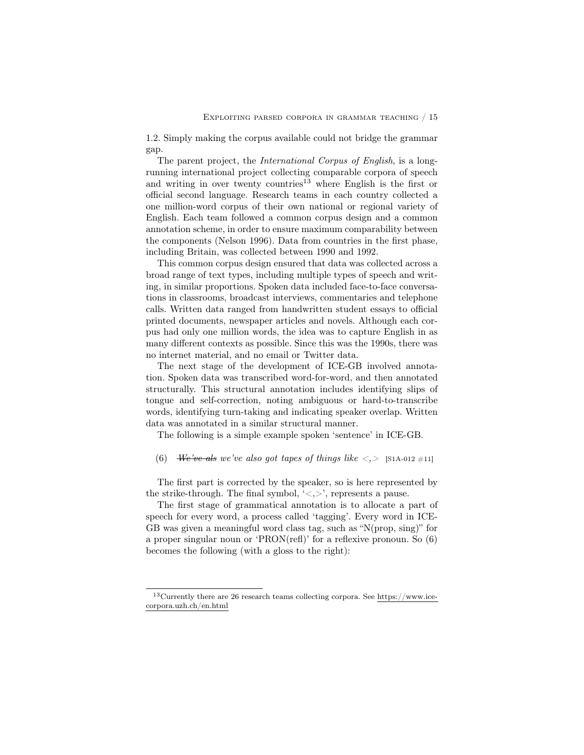1.2. Simply making the corpus available could not bridge the grammar gap.

The parent project, the *International Corpus of English*, is a longrunning international project collecting comparable corpora of speech and writing in over twenty countries<sup>13</sup> where English is the first or official second language. Research teams in each country collected a one million-word corpus of their own national or regional variety of English. Each team followed a common corpus design and a common annotation scheme, in order to ensure maximum comparability between the components (Nelson 1996). Data from countries in the first phase, including Britain, was collected between 1990 and 1992.

This common corpus design ensured that data was collected across a broad range of text types, including multiple types of speech and writing, in similar proportions. Spoken data included face-to-face conversations in classrooms, broadcast interviews, commentaries and telephone calls. Written data ranged from handwritten student essays to official printed documents, newspaper articles and novels. Although each corpus had only one million words, the idea was to capture English in as many different contexts as possible. Since this was the 1990s, there was no internet material, and no email or Twitter data.

The next stage of the development of ICE-GB involved annotation. Spoken data was transcribed word-for-word, and then annotated structurally. This structural annotation includes identifying slips of tongue and self-correction, noting ambiguous or hard-to-transcribe words, identifying turn-taking and indicating speaker overlap. Written data was annotated in a similar structural manner.

The following is a simple example spoken 'sentence' in ICE-GB.

(6) *We've als we've also got tapes of things like*  $\langle . \rangle$  [S1A-012 #11]

The first part is corrected by the speaker, so is here represented by the strike-through. The final symbol,  $\langle \langle \rangle \rangle$ , represents a pause.

The first stage of grammatical annotation is to allocate a part of speech for every word, a process called 'tagging'. Every word in ICE-GB was given a meaningful word class tag, such as "N(prop, sing)" for a proper singular noun or 'PRON(refl)' for a reflexive pronoun. So (6) becomes the following (with a gloss to the right):

 $\rm ^{13}Currently$  there are 26 research teams collecting corpora. See https://www.icecorpora.uzh.ch/en.html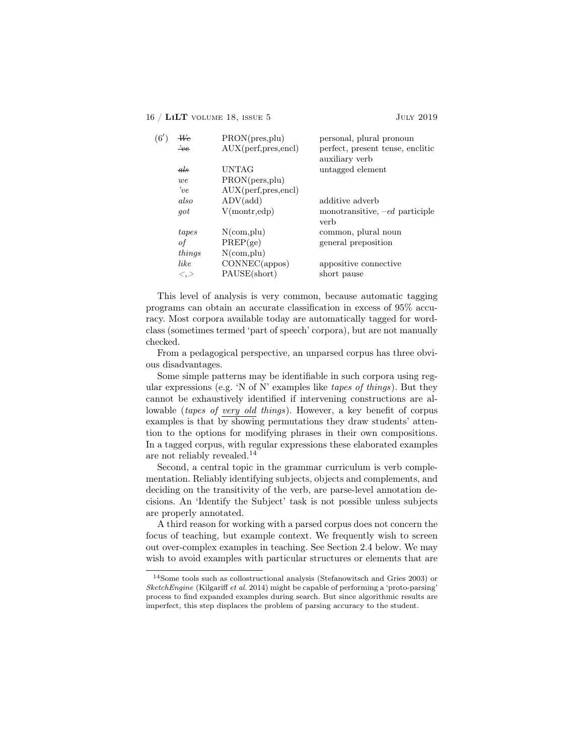| (6') | We                               | PRON(pres,plu)      | personal, plural pronoun         |
|------|----------------------------------|---------------------|----------------------------------|
|      | $\frac{1}{2}$                    | AUX(perf,pres,encl) | perfect, present tense, enclitic |
|      |                                  |                     | auxiliary verb                   |
|      | $_{\textit{dls}}$                | <b>UNTAG</b>        | untagged element                 |
|      | we                               | PRON(pers,plu)      |                                  |
|      | $v_e$                            | AUX(perf,pres,encl) |                                  |
|      | also                             | ADV(add)            | additive adverb                  |
|      | got                              | V(montr, edp)       | monotransitive, $-ed$ participle |
|      |                                  |                     | verb                             |
|      | tapes                            | $N$ (com, plu)      | common, plural noun              |
|      | οf                               | PREF(ge)            | general preposition              |
|      | things                           | $N$ (com, plu)      |                                  |
|      | like                             | CONNEC(appos)       | appositive connective            |
|      | $\mathopen{<}$ , $\mathclose{>}$ | PAUSE(short)        | short pause                      |
|      |                                  |                     |                                  |

This level of analysis is very common, because automatic tagging programs can obtain an accurate classification in excess of 95% accuracy. Most corpora available today are automatically tagged for wordclass (sometimes termed 'part of speech' corpora), but are not manually checked.

From a pedagogical perspective, an unparsed corpus has three obvious disadvantages.

Some simple patterns may be identifiable in such corpora using regular expressions (e.g. 'N of N' examples like *tapes of things*). But they cannot be exhaustively identified if intervening constructions are allowable (*tapes of very old things*). However, a key benefit of corpus examples is that by showing permutations they draw students' attention to the options for modifying phrases in their own compositions. In a tagged corpus, with regular expressions these elaborated examples are not reliably revealed.<sup>14</sup>

Second, a central topic in the grammar curriculum is verb complementation. Reliably identifying subjects, objects and complements, and deciding on the transitivity of the verb, are parse-level annotation decisions. An 'Identify the Subject' task is not possible unless subjects are properly annotated.

A third reason for working with a parsed corpus does not concern the focus of teaching, but example context. We frequently wish to screen out over-complex examples in teaching. See Section 2.4 below. We may wish to avoid examples with particular structures or elements that are

<sup>14</sup>Some tools such as collostructional analysis (Stefanowitsch and Gries 2003) or *SketchEngine* (Kilgariff *et al.* 2014) might be capable of performing a 'proto-parsing' process to find expanded examples during search. But since algorithmic results are imperfect, this step displaces the problem of parsing accuracy to the student.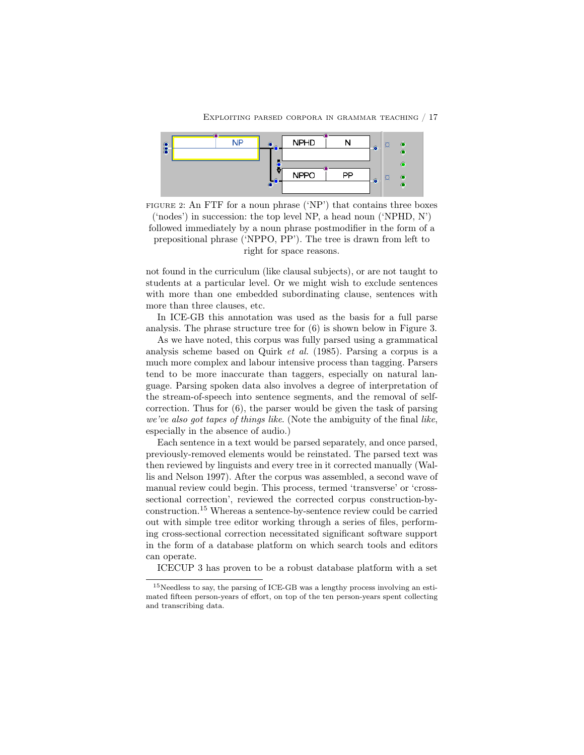

FIGURE 2: An FTF for a noun phrase ('NP') that contains three boxes ('nodes') in succession: the top level NP, a head noun ('NPHD, N') followed immediately by a noun phrase postmodifier in the form of a prepositional phrase ('NPPO, PP'). The tree is drawn from left to right for space reasons.

not found in the curriculum (like clausal subjects), or are not taught to students at a particular level. Or we might wish to exclude sentences with more than one embedded subordinating clause, sentences with more than three clauses, etc.

In ICE-GB this annotation was used as the basis for a full parse analysis. The phrase structure tree for (6) is shown below in Figure 3.

As we have noted, this corpus was fully parsed using a grammatical analysis scheme based on Quirk *et al.* (1985). Parsing a corpus is a much more complex and labour intensive process than tagging. Parsers tend to be more inaccurate than taggers, especially on natural language. Parsing spoken data also involves a degree of interpretation of the stream-of-speech into sentence segments, and the removal of selfcorrection. Thus for (6), the parser would be given the task of parsing *we've also got tapes of things like*. (Note the ambiguity of the final *like*, especially in the absence of audio.)

Each sentence in a text would be parsed separately, and once parsed, previously-removed elements would be reinstated. The parsed text was then reviewed by linguists and every tree in it corrected manually (Wallis and Nelson 1997). After the corpus was assembled, a second wave of manual review could begin. This process, termed 'transverse' or 'crosssectional correction', reviewed the corrected corpus construction-byconstruction.<sup>15</sup> Whereas a sentence-by-sentence review could be carried out with simple tree editor working through a series of files, performing cross-sectional correction necessitated significant software support in the form of a database platform on which search tools and editors can operate.

ICECUP 3 has proven to be a robust database platform with a set

<sup>15</sup>Needless to say, the parsing of ICE-GB was a lengthy process involving an estimated fifteen person-years of effort, on top of the ten person-years spent collecting and transcribing data.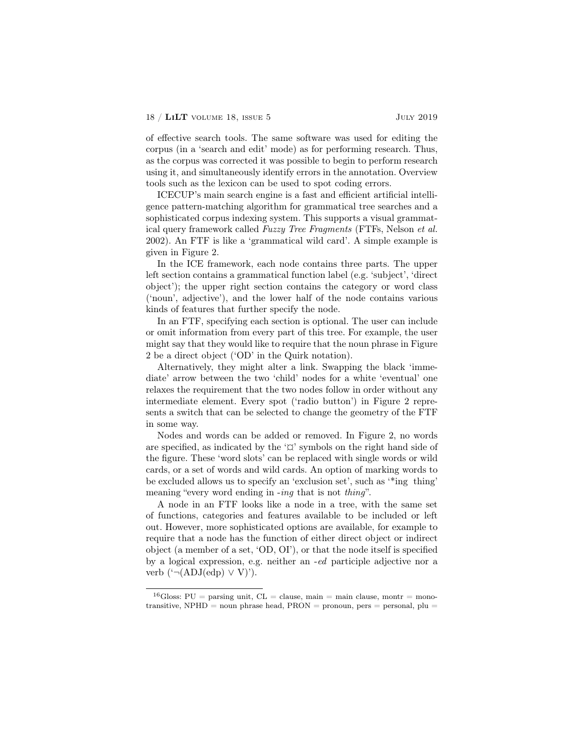of effective search tools. The same software was used for editing the corpus (in a 'search and edit' mode) as for performing research. Thus, as the corpus was corrected it was possible to begin to perform research using it, and simultaneously identify errors in the annotation. Overview tools such as the lexicon can be used to spot coding errors.

ICECUP's main search engine is a fast and efficient artificial intelligence pattern-matching algorithm for grammatical tree searches and a sophisticated corpus indexing system. This supports a visual grammatical query framework called *Fuzzy Tree Fragments* (FTFs, Nelson *et al.* 2002). An FTF is like a 'grammatical wild card'. A simple example is given in Figure 2.

In the ICE framework, each node contains three parts. The upper left section contains a grammatical function label (e.g. 'subject', 'direct object'); the upper right section contains the category or word class ('noun', adjective'), and the lower half of the node contains various kinds of features that further specify the node.

In an FTF, specifying each section is optional. The user can include or omit information from every part of this tree. For example, the user might say that they would like to require that the noun phrase in Figure 2 be a direct object ('OD' in the Quirk notation).

Alternatively, they might alter a link. Swapping the black 'immediate' arrow between the two 'child' nodes for a white 'eventual' one relaxes the requirement that the two nodes follow in order without any intermediate element. Every spot ('radio button') in Figure 2 represents a switch that can be selected to change the geometry of the FTF in some way.

Nodes and words can be added or removed. In Figure 2, no words are specified, as indicated by the ' $\alpha$ ' symbols on the right hand side of the figure. These 'word slots' can be replaced with single words or wild cards, or a set of words and wild cards. An option of marking words to be excluded allows us to specify an 'exclusion set', such as '\*ing thing' meaning "every word ending in -*ing* that is not *thing*".

A node in an FTF looks like a node in a tree, with the same set of functions, categories and features available to be included or left out. However, more sophisticated options are available, for example to require that a node has the function of either direct object or indirect object (a member of a set, 'OD, OI'), or that the node itself is specified by a logical expression, e.g. neither an -*ed* participle adjective nor a verb  $(^{\circ} \neg (ADJ(edp) \vee V)$ <sup>'</sup>).

<sup>&</sup>lt;sup>16</sup>Gloss: PU = parsing unit, CL = clause, main = main clause, montr = monotransitive, NPHD = noun phrase head,  $PRON$  = pronoun, pers = personal, plu =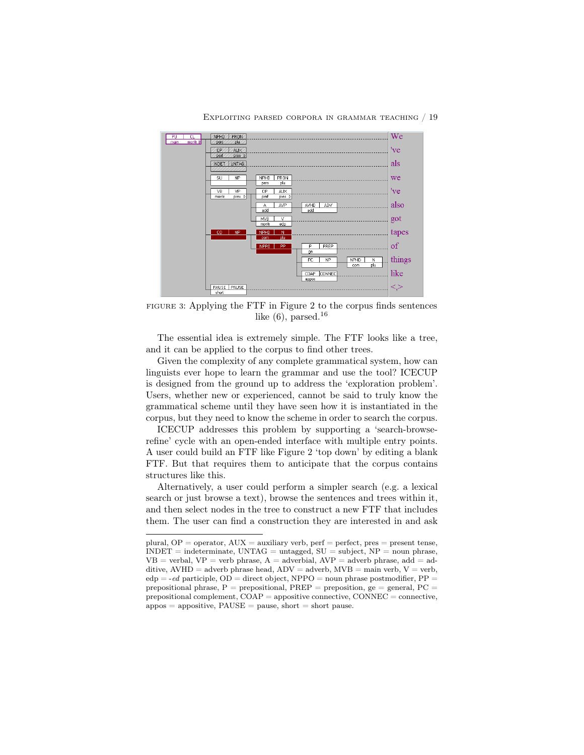

#### Exploiting parsed corpora in grammar teaching / 19

FIGURE 3: Applying the FTF in Figure 2 to the corpus finds sentences like  $(6)$ , parsed.<sup>16</sup>

The essential idea is extremely simple. The FTF looks like a tree, and it can be applied to the corpus to find other trees.

Given the complexity of any complete grammatical system, how can linguists ever hope to learn the grammar and use the tool? ICECUP is designed from the ground up to address the 'exploration problem'. Users, whether new or experienced, cannot be said to truly know the grammatical scheme until they have seen how it is instantiated in the corpus, but they need to know the scheme in order to search the corpus.

ICECUP addresses this problem by supporting a 'search-browserefine' cycle with an open-ended interface with multiple entry points. A user could build an FTF like Figure 2 'top down' by editing a blank FTF. But that requires them to anticipate that the corpus contains structures like this.

Alternatively, a user could perform a simpler search (e.g. a lexical search or just browse a text), browse the sentences and trees within it, and then select nodes in the tree to construct a new FTF that includes them. The user can find a construction they are interested in and ask

plural,  $OP =$  operator,  $AUX =$  auxiliary verb,  $perf =$  perfect,  $pres =$  present tense,  $INDEX = indeterminate$ ,  $UNTAG = untagger$ ,  $SU = subject$ ,  $NP = noun phrase$ ,  $VB =$  verbal,  $VP =$  verb phrase,  $A =$  adverbial,  $AVP =$  adverb phrase, add = additive,  $AVHD =$  adverb phrase head,  $ADV =$  adverb,  $MVB =$  main verb,  $V =$  verb,  $edp = -ed$  participle,  $OD =$  direct object,  $NPPO =$  noun phrase postmodifier,  $PP =$ prepositional phrase,  $P =$  prepositional,  $PREF =$  preposition,  $ge =$  general,  $PC =$ prepositional complement,  $COAP =$  appositive connective,  $CONNEC =$  connective,  $appos = appositive, PAUSE = pause, short = short pause.$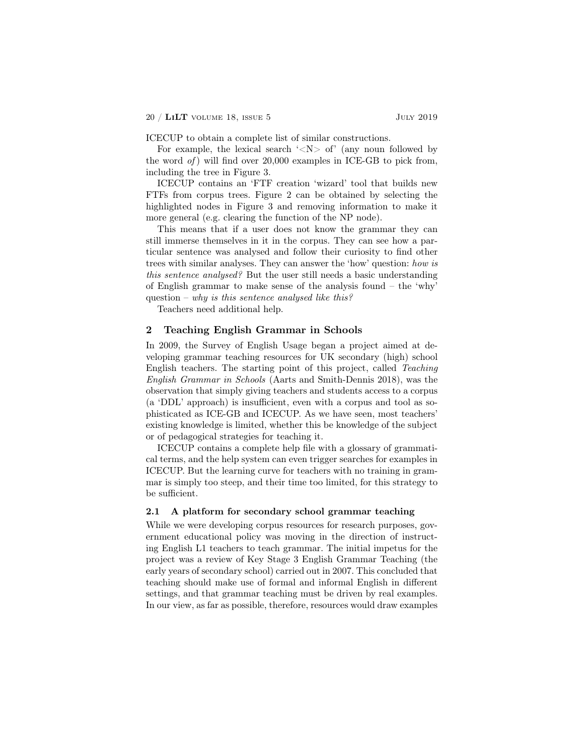ICECUP to obtain a complete list of similar constructions.

For example, the lexical search  $\langle N \rangle$  of  $\langle N \rangle$  (any noun followed by the word *of* ) will find over 20,000 examples in ICE-GB to pick from, including the tree in Figure 3.

ICECUP contains an 'FTF creation 'wizard' tool that builds new FTFs from corpus trees. Figure 2 can be obtained by selecting the highlighted nodes in Figure 3 and removing information to make it more general (e.g. clearing the function of the NP node).

This means that if a user does not know the grammar they can still immerse themselves in it in the corpus. They can see how a particular sentence was analysed and follow their curiosity to find other trees with similar analyses. They can answer the 'how' question: *how is this sentence analysed?* But the user still needs a basic understanding of English grammar to make sense of the analysis found – the 'why' question – *why is this sentence analysed like this?*

Teachers need additional help.

## 2 Teaching English Grammar in Schools

In 2009, the Survey of English Usage began a project aimed at developing grammar teaching resources for UK secondary (high) school English teachers. The starting point of this project, called *Teaching English Grammar in Schools* (Aarts and Smith-Dennis 2018), was the observation that simply giving teachers and students access to a corpus (a 'DDL' approach) is insufficient, even with a corpus and tool as sophisticated as ICE-GB and ICECUP. As we have seen, most teachers' existing knowledge is limited, whether this be knowledge of the subject or of pedagogical strategies for teaching it.

ICECUP contains a complete help file with a glossary of grammatical terms, and the help system can even trigger searches for examples in ICECUP. But the learning curve for teachers with no training in grammar is simply too steep, and their time too limited, for this strategy to be sufficient.

## 2.1 A platform for secondary school grammar teaching

While we were developing corpus resources for research purposes, government educational policy was moving in the direction of instructing English L1 teachers to teach grammar. The initial impetus for the project was a review of Key Stage 3 English Grammar Teaching (the early years of secondary school) carried out in 2007. This concluded that teaching should make use of formal and informal English in different settings, and that grammar teaching must be driven by real examples. In our view, as far as possible, therefore, resources would draw examples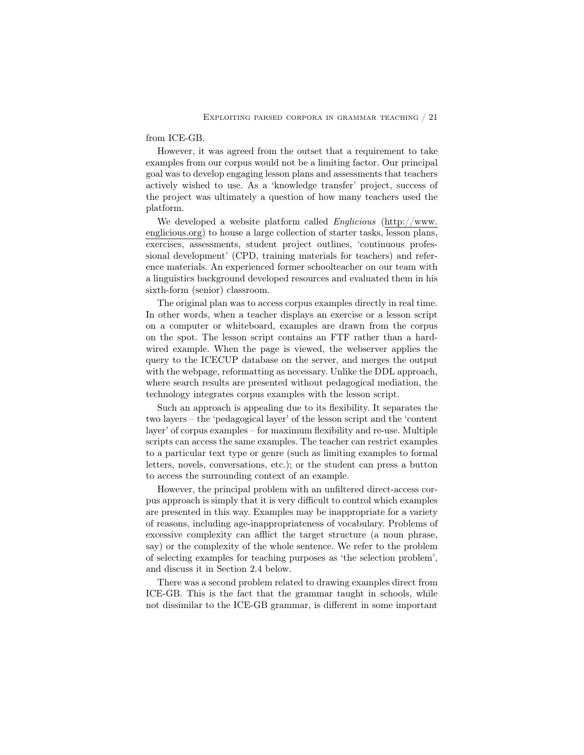#### from ICE-GB.

However, it was agreed from the outset that a requirement to take examples from our corpus would not be a limiting factor. Our principal goal was to develop engaging lesson plans and assessments that teachers actively wished to use. As a 'knowledge transfer' project, success of the project was ultimately a question of how many teachers used the platform.

We developed a website platform called *Englicious* (http://www. englicious.org) to house a large collection of starter tasks, lesson plans, exercises, assessments, student project outlines, 'continuous professional development' (CPD, training materials for teachers) and reference materials. An experienced former schoolteacher on our team with a linguistics background developed resources and evaluated them in his sixth-form (senior) classroom.

The original plan was to access corpus examples directly in real time. In other words, when a teacher displays an exercise or a lesson script on a computer or whiteboard, examples are drawn from the corpus on the spot. The lesson script contains an FTF rather than a hardwired example. When the page is viewed, the webserver applies the query to the ICECUP database on the server, and merges the output with the webpage, reformatting as necessary. Unlike the DDL approach, where search results are presented without pedagogical mediation, the technology integrates corpus examples with the lesson script.

Such an approach is appealing due to its flexibility. It separates the two layers – the 'pedagogical layer' of the lesson script and the 'content layer' of corpus examples – for maximum flexibility and re-use. Multiple scripts can access the same examples. The teacher can restrict examples to a particular text type or genre (such as limiting examples to formal letters, novels, conversations, etc.); or the student can press a button to access the surrounding context of an example.

However, the principal problem with an unfiltered direct-access corpus approach is simply that it is very difficult to control which examples are presented in this way. Examples may be inappropriate for a variety of reasons, including age-inappropriateness of vocabulary. Problems of excessive complexity can afflict the target structure (a noun phrase, say) or the complexity of the whole sentence. We refer to the problem of selecting examples for teaching purposes as 'the selection problem', and discuss it in Section 2.4 below.

There was a second problem related to drawing examples direct from ICE-GB. This is the fact that the grammar taught in schools, while not dissimilar to the ICE-GB grammar, is different in some important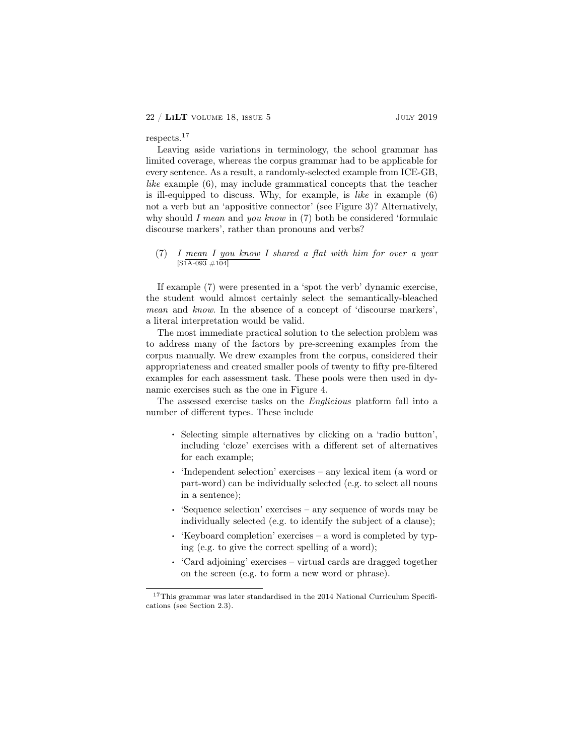## respects.<sup>17</sup>

Leaving aside variations in terminology, the school grammar has limited coverage, whereas the corpus grammar had to be applicable for every sentence. As a result, a randomly-selected example from ICE-GB, *like* example (6), may include grammatical concepts that the teacher is ill-equipped to discuss. Why, for example, is *like* in example (6) not a verb but an 'appositive connector' (see Figure 3)? Alternatively, why should *I mean* and *you know* in (7) both be considered 'formulaic discourse markers', rather than pronouns and verbs?

## (7) *I mean I you know I shared a flat with him for over a year*  $[SiA-093 \#104]$

If example (7) were presented in a 'spot the verb' dynamic exercise, the student would almost certainly select the semantically-bleached *mean* and *know*. In the absence of a concept of 'discourse markers', a literal interpretation would be valid.

The most immediate practical solution to the selection problem was to address many of the factors by pre-screening examples from the corpus manually. We drew examples from the corpus, considered their appropriateness and created smaller pools of twenty to fifty pre-filtered examples for each assessment task. These pools were then used in dynamic exercises such as the one in Figure 4.

The assessed exercise tasks on the *Englicious* platform fall into a number of different types. These include

- . Selecting simple alternatives by clicking on a 'radio button', including 'cloze' exercises with a different set of alternatives for each example;
- . 'Independent selection' exercises any lexical item (a word or part-word) can be individually selected (e.g. to select all nouns in a sentence);
- . 'Sequence selection' exercises any sequence of words may be individually selected (e.g. to identify the subject of a clause);
- . 'Keyboard completion' exercises a word is completed by typing (e.g. to give the correct spelling of a word);
- . 'Card adjoining' exercises virtual cards are dragged together on the screen (e.g. to form a new word or phrase).

 $^{17}\mathrm{This}$  grammar was later standardised in the 2014 National Curriculum Specifications (see Section 2.3).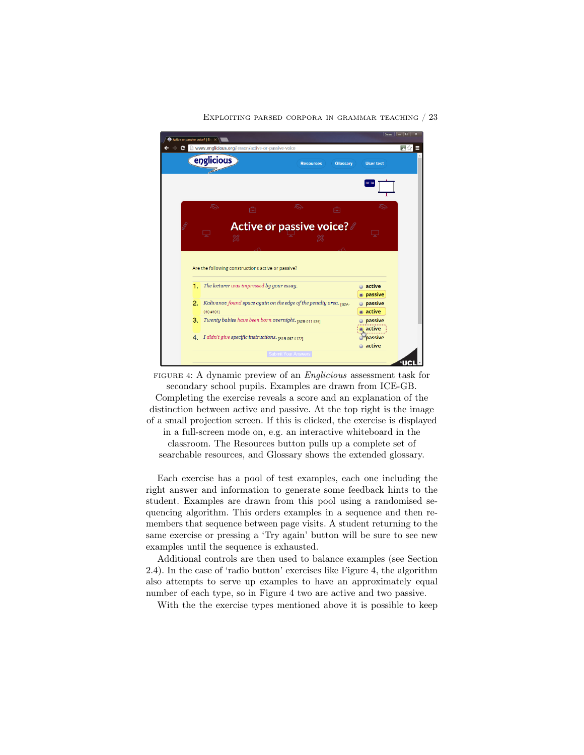

Exploiting parsed corpora in grammar teaching / 23

FIGURE 4: A dynamic preview of an *Englicious* assessment task for secondary school pupils. Examples are drawn from ICE-GB. Completing the exercise reveals a score and an explanation of the distinction between active and passive. At the top right is the image of a small projection screen. If this is clicked, the exercise is displayed in a full-screen mode on, e.g. an interactive whiteboard in the classroom. The Resources button pulls up a complete set of searchable resources, and Glossary shows the extended glossary.

Each exercise has a pool of test examples, each one including the right answer and information to generate some feedback hints to the student. Examples are drawn from this pool using a randomised sequencing algorithm. This orders examples in a sequence and then remembers that sequence between page visits. A student returning to the same exercise or pressing a 'Try again' button will be sure to see new examples until the sequence is exhausted.

Additional controls are then used to balance examples (see Section 2.4). In the case of 'radio button' exercises like Figure 4, the algorithm also attempts to serve up examples to have an approximately equal number of each type, so in Figure 4 two are active and two passive.

With the the exercise types mentioned above it is possible to keep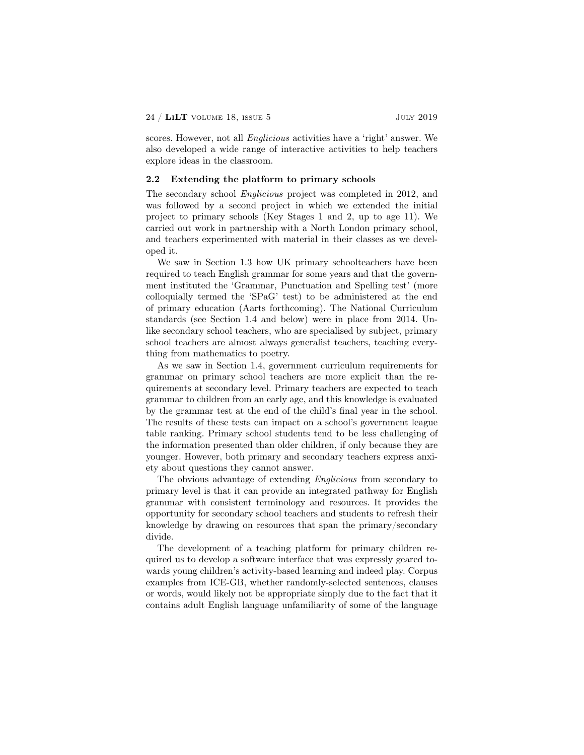scores. However, not all *Englicious* activities have a 'right' answer. We also developed a wide range of interactive activities to help teachers explore ideas in the classroom.

## 2.2 Extending the platform to primary schools

The secondary school *Englicious* project was completed in 2012, and was followed by a second project in which we extended the initial project to primary schools (Key Stages 1 and 2, up to age 11). We carried out work in partnership with a North London primary school, and teachers experimented with material in their classes as we developed it.

We saw in Section 1.3 how UK primary schoolteachers have been required to teach English grammar for some years and that the government instituted the 'Grammar, Punctuation and Spelling test' (more colloquially termed the 'SPaG' test) to be administered at the end of primary education (Aarts forthcoming). The National Curriculum standards (see Section 1.4 and below) were in place from 2014. Unlike secondary school teachers, who are specialised by subject, primary school teachers are almost always generalist teachers, teaching everything from mathematics to poetry.

As we saw in Section 1.4, government curriculum requirements for grammar on primary school teachers are more explicit than the requirements at secondary level. Primary teachers are expected to teach grammar to children from an early age, and this knowledge is evaluated by the grammar test at the end of the child's final year in the school. The results of these tests can impact on a school's government league table ranking. Primary school students tend to be less challenging of the information presented than older children, if only because they are younger. However, both primary and secondary teachers express anxiety about questions they cannot answer.

The obvious advantage of extending *Englicious* from secondary to primary level is that it can provide an integrated pathway for English grammar with consistent terminology and resources. It provides the opportunity for secondary school teachers and students to refresh their knowledge by drawing on resources that span the primary/secondary divide.

The development of a teaching platform for primary children required us to develop a software interface that was expressly geared towards young children's activity-based learning and indeed play. Corpus examples from ICE-GB, whether randomly-selected sentences, clauses or words, would likely not be appropriate simply due to the fact that it contains adult English language unfamiliarity of some of the language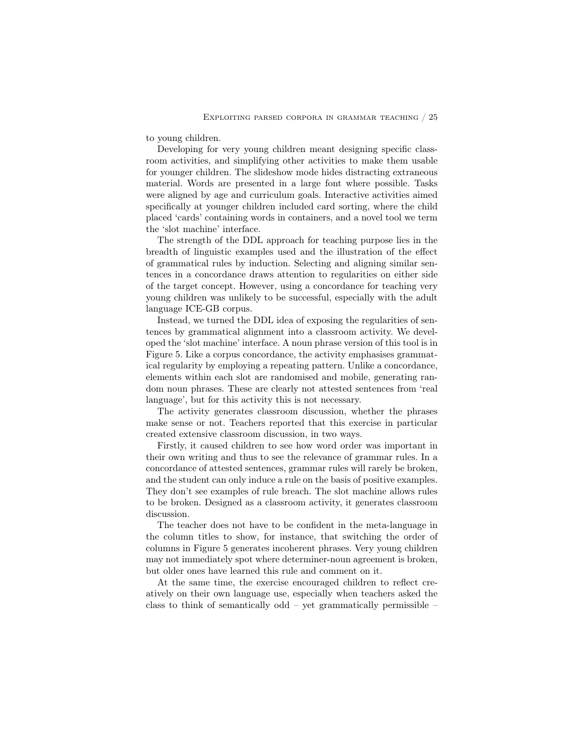to young children.

Developing for very young children meant designing specific classroom activities, and simplifying other activities to make them usable for younger children. The slideshow mode hides distracting extraneous material. Words are presented in a large font where possible. Tasks were aligned by age and curriculum goals. Interactive activities aimed specifically at younger children included card sorting, where the child placed 'cards' containing words in containers, and a novel tool we term the 'slot machine' interface.

The strength of the DDL approach for teaching purpose lies in the breadth of linguistic examples used and the illustration of the effect of grammatical rules by induction. Selecting and aligning similar sentences in a concordance draws attention to regularities on either side of the target concept. However, using a concordance for teaching very young children was unlikely to be successful, especially with the adult language ICE-GB corpus.

Instead, we turned the DDL idea of exposing the regularities of sentences by grammatical alignment into a classroom activity. We developed the 'slot machine' interface. A noun phrase version of this tool is in Figure 5. Like a corpus concordance, the activity emphasises grammatical regularity by employing a repeating pattern. Unlike a concordance, elements within each slot are randomised and mobile, generating random noun phrases. These are clearly not attested sentences from 'real language', but for this activity this is not necessary.

The activity generates classroom discussion, whether the phrases make sense or not. Teachers reported that this exercise in particular created extensive classroom discussion, in two ways.

Firstly, it caused children to see how word order was important in their own writing and thus to see the relevance of grammar rules. In a concordance of attested sentences, grammar rules will rarely be broken, and the student can only induce a rule on the basis of positive examples. They don't see examples of rule breach. The slot machine allows rules to be broken. Designed as a classroom activity, it generates classroom discussion.

The teacher does not have to be confident in the meta-language in the column titles to show, for instance, that switching the order of columns in Figure 5 generates incoherent phrases. Very young children may not immediately spot where determiner-noun agreement is broken, but older ones have learned this rule and comment on it.

At the same time, the exercise encouraged children to reflect creatively on their own language use, especially when teachers asked the class to think of semantically odd – yet grammatically permissible –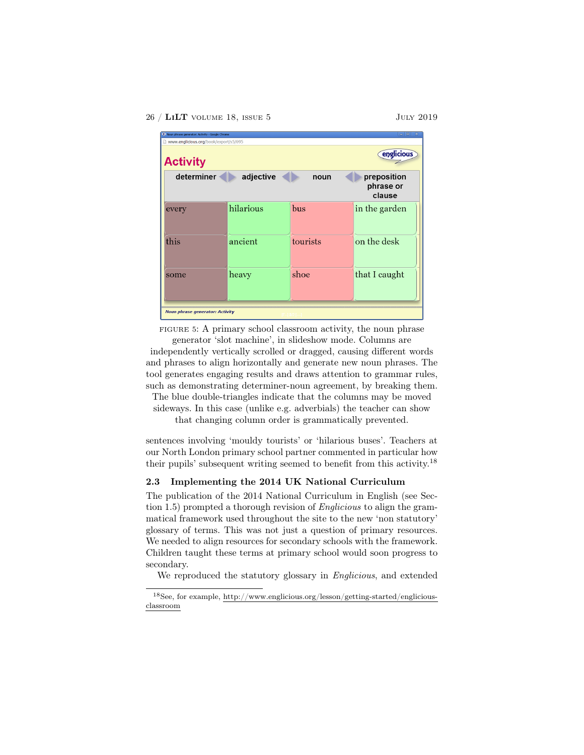#### 26 / LILT VOLUME 18, ISSUE 5 JULY 2019

| <sup>e</sup> Noun phrase generator: Activity - Google Chrome<br>www.englicious.org/book/export/s5/695 |           |          | $\overline{\phantom{a}}$<br>$\mathbf{x}$ |  |  |
|-------------------------------------------------------------------------------------------------------|-----------|----------|------------------------------------------|--|--|
| englicious<br><b>Activity</b>                                                                         |           |          |                                          |  |  |
| determiner                                                                                            | adjective | noun     | preposition<br>phrase or<br>clause       |  |  |
| every                                                                                                 | hilarious | bus      | in the garden                            |  |  |
| this                                                                                                  | ancient   | tourists | on the desk                              |  |  |
| some                                                                                                  | heavy     | shoe     | that I caught                            |  |  |
| <b>Noun phrase generator: Activity</b>                                                                |           |          |                                          |  |  |

FIGURE 5: A primary school classroom activity, the noun phrase generator 'slot machine', in slideshow mode. Columns are

independently vertically scrolled or dragged, causing different words and phrases to align horizontally and generate new noun phrases. The tool generates engaging results and draws attention to grammar rules, such as demonstrating determiner-noun agreement, by breaking them.

The blue double-triangles indicate that the columns may be moved sideways. In this case (unlike e.g. adverbials) the teacher can show

that changing column order is grammatically prevented.

sentences involving 'mouldy tourists' or 'hilarious buses'. Teachers at our North London primary school partner commented in particular how their pupils' subsequent writing seemed to benefit from this activity.<sup>18</sup>

## 2.3 Implementing the 2014 UK National Curriculum

The publication of the 2014 National Curriculum in English (see Section 1.5) prompted a thorough revision of *Englicious* to align the grammatical framework used throughout the site to the new 'non statutory' glossary of terms. This was not just a question of primary resources. We needed to align resources for secondary schools with the framework. Children taught these terms at primary school would soon progress to secondary.

We reproduced the statutory glossary in *Englicious*, and extended

 $^{18}\mathrm{See},$  for example, http://www.englicious.org/<u>lesson/getting-started/englicious-</u> classroom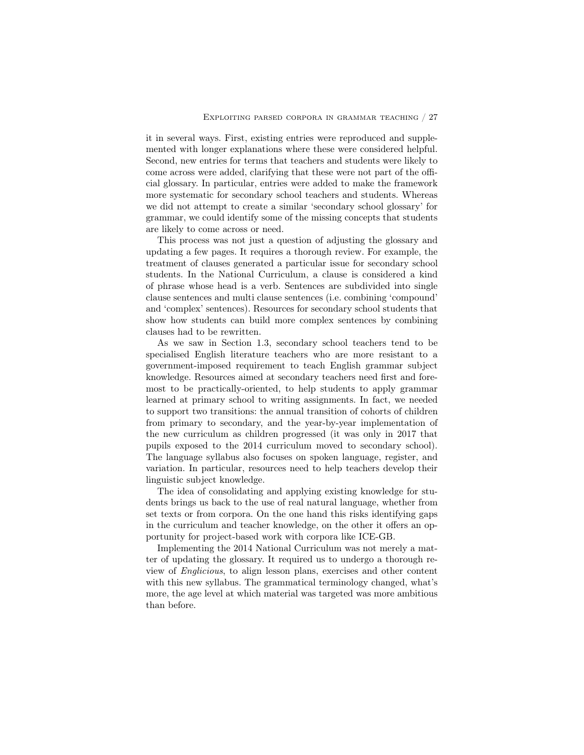it in several ways. First, existing entries were reproduced and supplemented with longer explanations where these were considered helpful. Second, new entries for terms that teachers and students were likely to come across were added, clarifying that these were not part of the official glossary. In particular, entries were added to make the framework more systematic for secondary school teachers and students. Whereas we did not attempt to create a similar 'secondary school glossary' for grammar, we could identify some of the missing concepts that students are likely to come across or need.

This process was not just a question of adjusting the glossary and updating a few pages. It requires a thorough review. For example, the treatment of clauses generated a particular issue for secondary school students. In the National Curriculum, a clause is considered a kind of phrase whose head is a verb. Sentences are subdivided into single clause sentences and multi clause sentences (i.e. combining 'compound' and 'complex' sentences). Resources for secondary school students that show how students can build more complex sentences by combining clauses had to be rewritten.

As we saw in Section 1.3, secondary school teachers tend to be specialised English literature teachers who are more resistant to a government-imposed requirement to teach English grammar subject knowledge. Resources aimed at secondary teachers need first and foremost to be practically-oriented, to help students to apply grammar learned at primary school to writing assignments. In fact, we needed to support two transitions: the annual transition of cohorts of children from primary to secondary, and the year-by-year implementation of the new curriculum as children progressed (it was only in 2017 that pupils exposed to the 2014 curriculum moved to secondary school). The language syllabus also focuses on spoken language, register, and variation. In particular, resources need to help teachers develop their linguistic subject knowledge.

The idea of consolidating and applying existing knowledge for students brings us back to the use of real natural language, whether from set texts or from corpora. On the one hand this risks identifying gaps in the curriculum and teacher knowledge, on the other it offers an opportunity for project-based work with corpora like ICE-GB.

Implementing the 2014 National Curriculum was not merely a matter of updating the glossary. It required us to undergo a thorough review of *Englicious*, to align lesson plans, exercises and other content with this new syllabus. The grammatical terminology changed, what's more, the age level at which material was targeted was more ambitious than before.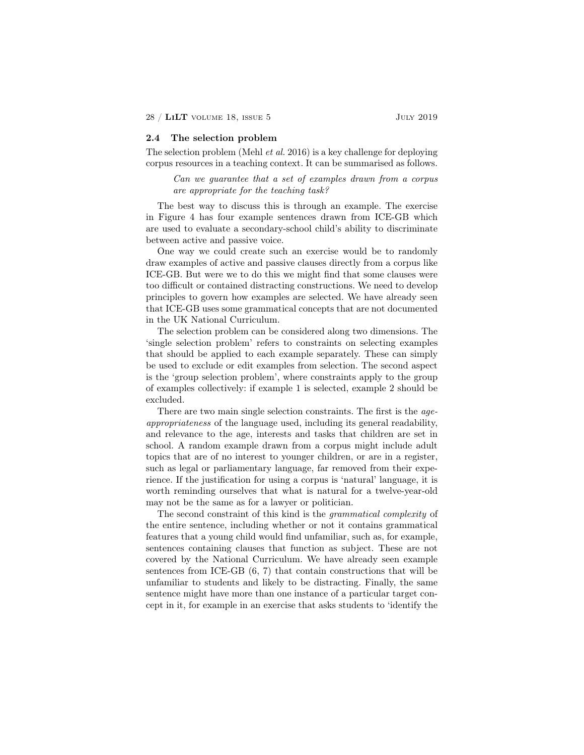## 2.4 The selection problem

The selection problem (Mehl *et al.* 2016) is a key challenge for deploying corpus resources in a teaching context. It can be summarised as follows.

*Can we guarantee that a set of examples drawn from a corpus are appropriate for the teaching task?*

The best way to discuss this is through an example. The exercise in Figure 4 has four example sentences drawn from ICE-GB which are used to evaluate a secondary-school child's ability to discriminate between active and passive voice.

One way we could create such an exercise would be to randomly draw examples of active and passive clauses directly from a corpus like ICE-GB. But were we to do this we might find that some clauses were too difficult or contained distracting constructions. We need to develop principles to govern how examples are selected. We have already seen that ICE-GB uses some grammatical concepts that are not documented in the UK National Curriculum.

The selection problem can be considered along two dimensions. The 'single selection problem' refers to constraints on selecting examples that should be applied to each example separately. These can simply be used to exclude or edit examples from selection. The second aspect is the 'group selection problem', where constraints apply to the group of examples collectively: if example 1 is selected, example 2 should be excluded.

There are two main single selection constraints. The first is the *ageappropriateness* of the language used, including its general readability, and relevance to the age, interests and tasks that children are set in school. A random example drawn from a corpus might include adult topics that are of no interest to younger children, or are in a register, such as legal or parliamentary language, far removed from their experience. If the justification for using a corpus is 'natural' language, it is worth reminding ourselves that what is natural for a twelve-year-old may not be the same as for a lawyer or politician.

The second constraint of this kind is the *grammatical complexity* of the entire sentence, including whether or not it contains grammatical features that a young child would find unfamiliar, such as, for example, sentences containing clauses that function as subject. These are not covered by the National Curriculum. We have already seen example sentences from ICE-GB (6, 7) that contain constructions that will be unfamiliar to students and likely to be distracting. Finally, the same sentence might have more than one instance of a particular target concept in it, for example in an exercise that asks students to 'identify the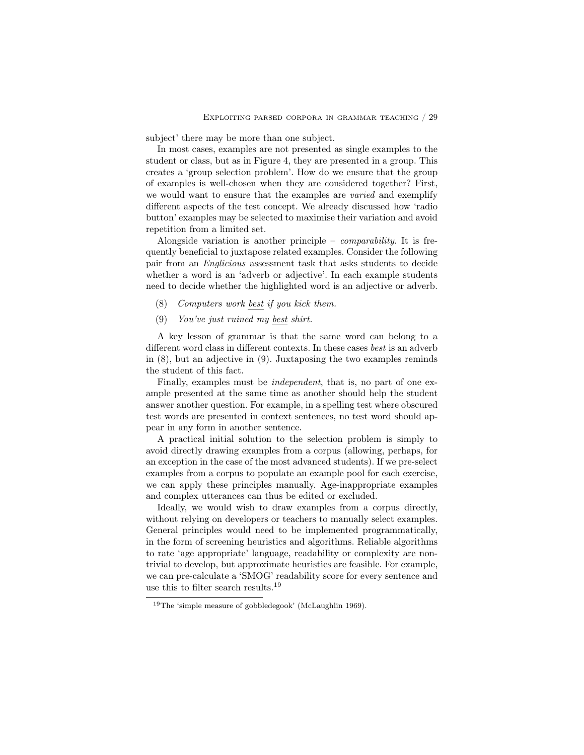subject' there may be more than one subject.

In most cases, examples are not presented as single examples to the student or class, but as in Figure 4, they are presented in a group. This creates a 'group selection problem'. How do we ensure that the group of examples is well-chosen when they are considered together? First, we would want to ensure that the examples are *varied* and exemplify different aspects of the test concept. We already discussed how 'radio button' examples may be selected to maximise their variation and avoid repetition from a limited set.

Alongside variation is another principle – *comparability*. It is frequently beneficial to juxtapose related examples. Consider the following pair from an *Englicious* assessment task that asks students to decide whether a word is an 'adverb or adjective'. In each example students need to decide whether the highlighted word is an adjective or adverb.

- (8) *Computers work best if you kick them.*
- (9) *You've just ruined my best shirt.*

A key lesson of grammar is that the same word can belong to a different word class in different contexts. In these cases *best* is an adverb in (8), but an adjective in (9). Juxtaposing the two examples reminds the student of this fact.

Finally, examples must be *independent*, that is, no part of one example presented at the same time as another should help the student answer another question. For example, in a spelling test where obscured test words are presented in context sentences, no test word should appear in any form in another sentence.

A practical initial solution to the selection problem is simply to avoid directly drawing examples from a corpus (allowing, perhaps, for an exception in the case of the most advanced students). If we pre-select examples from a corpus to populate an example pool for each exercise, we can apply these principles manually. Age-inappropriate examples and complex utterances can thus be edited or excluded.

Ideally, we would wish to draw examples from a corpus directly, without relying on developers or teachers to manually select examples. General principles would need to be implemented programmatically, in the form of screening heuristics and algorithms. Reliable algorithms to rate 'age appropriate' language, readability or complexity are nontrivial to develop, but approximate heuristics are feasible. For example, we can pre-calculate a 'SMOG' readability score for every sentence and use this to filter search results.<sup>19</sup>

<sup>19</sup>The 'simple measure of gobbledegook' (McLaughlin 1969).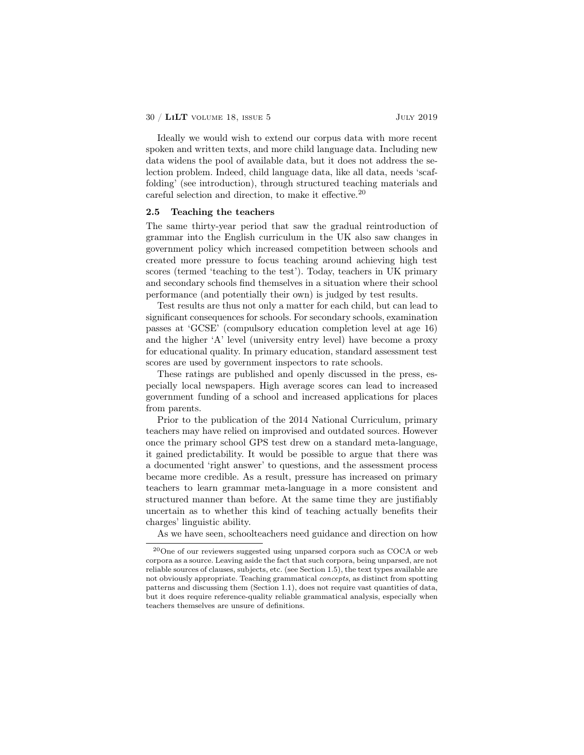Ideally we would wish to extend our corpus data with more recent spoken and written texts, and more child language data. Including new data widens the pool of available data, but it does not address the selection problem. Indeed, child language data, like all data, needs 'scaffolding' (see introduction), through structured teaching materials and careful selection and direction, to make it effective.<sup>20</sup>

## 2.5 Teaching the teachers

The same thirty-year period that saw the gradual reintroduction of grammar into the English curriculum in the UK also saw changes in government policy which increased competition between schools and created more pressure to focus teaching around achieving high test scores (termed 'teaching to the test'). Today, teachers in UK primary and secondary schools find themselves in a situation where their school performance (and potentially their own) is judged by test results.

Test results are thus not only a matter for each child, but can lead to significant consequences for schools. For secondary schools, examination passes at 'GCSE' (compulsory education completion level at age 16) and the higher 'A' level (university entry level) have become a proxy for educational quality. In primary education, standard assessment test scores are used by government inspectors to rate schools.

These ratings are published and openly discussed in the press, especially local newspapers. High average scores can lead to increased government funding of a school and increased applications for places from parents.

Prior to the publication of the 2014 National Curriculum, primary teachers may have relied on improvised and outdated sources. However once the primary school GPS test drew on a standard meta-language, it gained predictability. It would be possible to argue that there was a documented 'right answer' to questions, and the assessment process became more credible. As a result, pressure has increased on primary teachers to learn grammar meta-language in a more consistent and structured manner than before. At the same time they are justifiably uncertain as to whether this kind of teaching actually benefits their charges' linguistic ability.

As we have seen, schoolteachers need guidance and direction on how

<sup>20</sup>One of our reviewers suggested using unparsed corpora such as COCA or web corpora as a source. Leaving aside the fact that such corpora, being unparsed, are not reliable sources of clauses, subjects, etc. (see Section 1.5), the text types available are not obviously appropriate. Teaching grammatical *concepts*, as distinct from spotting patterns and discussing them (Section 1.1), does not require vast quantities of data, but it does require reference-quality reliable grammatical analysis, especially when teachers themselves are unsure of definitions.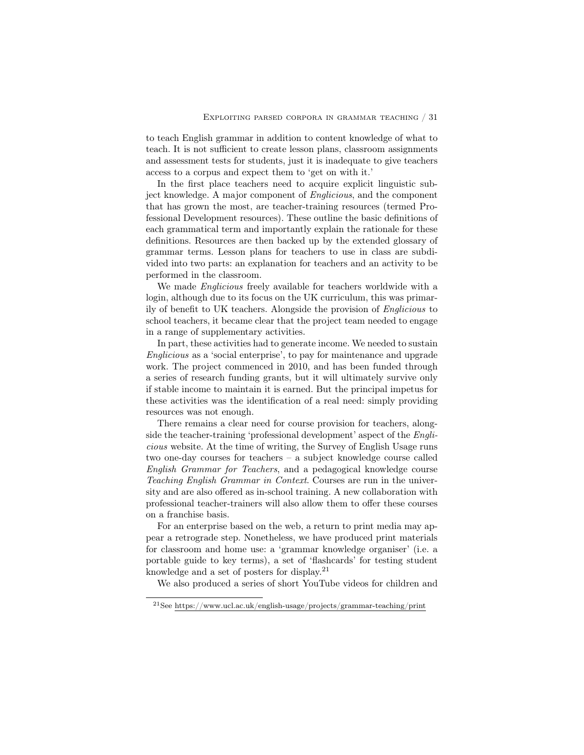to teach English grammar in addition to content knowledge of what to teach. It is not sufficient to create lesson plans, classroom assignments and assessment tests for students, just it is inadequate to give teachers access to a corpus and expect them to 'get on with it.'

In the first place teachers need to acquire explicit linguistic subject knowledge. A major component of *Englicious*, and the component that has grown the most, are teacher-training resources (termed Professional Development resources). These outline the basic definitions of each grammatical term and importantly explain the rationale for these definitions. Resources are then backed up by the extended glossary of grammar terms. Lesson plans for teachers to use in class are subdivided into two parts: an explanation for teachers and an activity to be performed in the classroom.

We made *Englicious* freely available for teachers worldwide with a login, although due to its focus on the UK curriculum, this was primarily of benefit to UK teachers. Alongside the provision of *Englicious* to school teachers, it became clear that the project team needed to engage in a range of supplementary activities.

In part, these activities had to generate income. We needed to sustain *Englicious* as a 'social enterprise', to pay for maintenance and upgrade work. The project commenced in 2010, and has been funded through a series of research funding grants, but it will ultimately survive only if stable income to maintain it is earned. But the principal impetus for these activities was the identification of a real need: simply providing resources was not enough.

There remains a clear need for course provision for teachers, alongside the teacher-training 'professional development' aspect of the *Englicious* website. At the time of writing, the Survey of English Usage runs two one-day courses for teachers – a subject knowledge course called *English Grammar for Teachers*, and a pedagogical knowledge course *Teaching English Grammar in Context*. Courses are run in the university and are also offered as in-school training. A new collaboration with professional teacher-trainers will also allow them to offer these courses on a franchise basis.

For an enterprise based on the web, a return to print media may appear a retrograde step. Nonetheless, we have produced print materials for classroom and home use: a 'grammar knowledge organiser' (i.e. a portable guide to key terms), a set of 'flashcards' for testing student knowledge and a set of posters for display.<sup>21</sup>

We also produced a series of short YouTube videos for children and

 $\rm ^{21}See$ https://www.ucl.ac.uk/english-usage/projects/grammar-teaching/print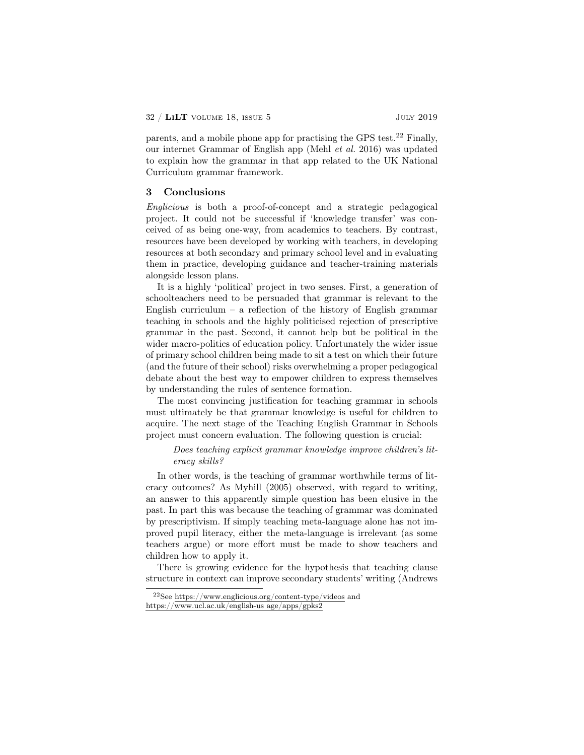parents, and a mobile phone app for practising the GPS test.<sup>22</sup> Finally, our internet Grammar of English app (Mehl *et al.* 2016) was updated to explain how the grammar in that app related to the UK National Curriculum grammar framework.

#### 3 Conclusions

*Englicious* is both a proof-of-concept and a strategic pedagogical project. It could not be successful if 'knowledge transfer' was conceived of as being one-way, from academics to teachers. By contrast, resources have been developed by working with teachers, in developing resources at both secondary and primary school level and in evaluating them in practice, developing guidance and teacher-training materials alongside lesson plans.

It is a highly 'political' project in two senses. First, a generation of schoolteachers need to be persuaded that grammar is relevant to the English curriculum – a reflection of the history of English grammar teaching in schools and the highly politicised rejection of prescriptive grammar in the past. Second, it cannot help but be political in the wider macro-politics of education policy. Unfortunately the wider issue of primary school children being made to sit a test on which their future (and the future of their school) risks overwhelming a proper pedagogical debate about the best way to empower children to express themselves by understanding the rules of sentence formation.

The most convincing justification for teaching grammar in schools must ultimately be that grammar knowledge is useful for children to acquire. The next stage of the Teaching English Grammar in Schools project must concern evaluation. The following question is crucial:

## *Does teaching explicit grammar knowledge improve children's literacy skills?*

In other words, is the teaching of grammar worthwhile terms of literacy outcomes? As Myhill (2005) observed, with regard to writing, an answer to this apparently simple question has been elusive in the past. In part this was because the teaching of grammar was dominated by prescriptivism. If simply teaching meta-language alone has not improved pupil literacy, either the meta-language is irrelevant (as some teachers argue) or more effort must be made to show teachers and children how to apply it.

There is growing evidence for the hypothesis that teaching clause structure in context can improve secondary students' writing (Andrews

<sup>22</sup>See https://www.englicious.org/content-type/videos and https://www.ucl.ac.uk/english-us age/apps/gpks2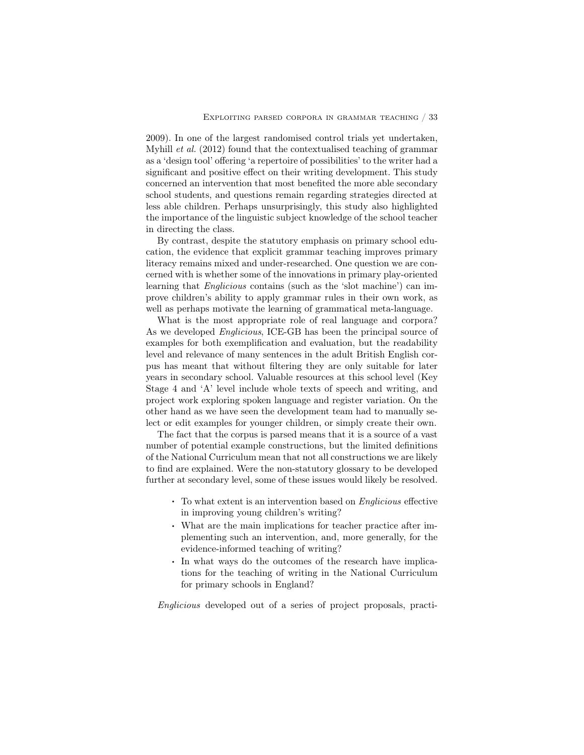2009). In one of the largest randomised control trials yet undertaken, Myhill *et al.* (2012) found that the contextualised teaching of grammar as a 'design tool' offering 'a repertoire of possibilities' to the writer had a significant and positive effect on their writing development. This study concerned an intervention that most benefited the more able secondary school students, and questions remain regarding strategies directed at less able children. Perhaps unsurprisingly, this study also highlighted the importance of the linguistic subject knowledge of the school teacher in directing the class.

By contrast, despite the statutory emphasis on primary school education, the evidence that explicit grammar teaching improves primary literacy remains mixed and under-researched. One question we are concerned with is whether some of the innovations in primary play-oriented learning that *Englicious* contains (such as the 'slot machine') can improve children's ability to apply grammar rules in their own work, as well as perhaps motivate the learning of grammatical meta-language.

What is the most appropriate role of real language and corpora? As we developed *Englicious*, ICE-GB has been the principal source of examples for both exemplification and evaluation, but the readability level and relevance of many sentences in the adult British English corpus has meant that without filtering they are only suitable for later years in secondary school. Valuable resources at this school level (Key Stage 4 and 'A' level include whole texts of speech and writing, and project work exploring spoken language and register variation. On the other hand as we have seen the development team had to manually select or edit examples for younger children, or simply create their own.

The fact that the corpus is parsed means that it is a source of a vast number of potential example constructions, but the limited definitions of the National Curriculum mean that not all constructions we are likely to find are explained. Were the non-statutory glossary to be developed further at secondary level, some of these issues would likely be resolved.

- . To what extent is an intervention based on *Englicious* <sup>e</sup>ffective in improving young children's writing?
- . What are the main implications for teacher practice after implementing such an intervention, and, more generally, for the evidence-informed teaching of writing?
- . In what ways do the outcomes of the research have implications for the teaching of writing in the National Curriculum for primary schools in England?

*Englicious* developed out of a series of project proposals, practi-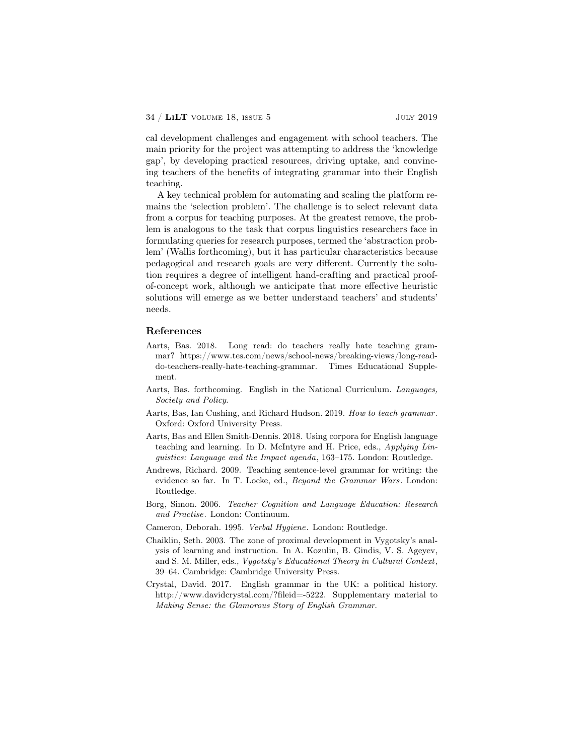cal development challenges and engagement with school teachers. The main priority for the project was attempting to address the 'knowledge gap', by developing practical resources, driving uptake, and convincing teachers of the benefits of integrating grammar into their English teaching.

A key technical problem for automating and scaling the platform remains the 'selection problem'. The challenge is to select relevant data from a corpus for teaching purposes. At the greatest remove, the problem is analogous to the task that corpus linguistics researchers face in formulating queries for research purposes, termed the 'abstraction problem' (Wallis forthcoming), but it has particular characteristics because pedagogical and research goals are very different. Currently the solution requires a degree of intelligent hand-crafting and practical proofof-concept work, although we anticipate that more effective heuristic solutions will emerge as we better understand teachers' and students' needs.

## References

- Aarts, Bas. 2018. Long read: do teachers really hate teaching grammar? https://www.tes.com/news/school-news/breaking-views/long-readdo-teachers-really-hate-teaching-grammar. Times Educational Supplement.
- Aarts, Bas. forthcoming. English in the National Curriculum. *Languages, Society and Policy*.
- Aarts, Bas, Ian Cushing, and Richard Hudson. 2019. *How to teach grammar*. Oxford: Oxford University Press.
- Aarts, Bas and Ellen Smith-Dennis. 2018. Using corpora for English language teaching and learning. In D. McIntyre and H. Price, eds., *Applying Linguistics: Language and the Impact agenda*, 163–175. London: Routledge.
- Andrews, Richard. 2009. Teaching sentence-level grammar for writing: the evidence so far. In T. Locke, ed., *Beyond the Grammar Wars*. London: Routledge.
- Borg, Simon. 2006. *Teacher Cognition and Language Education: Research and Practise*. London: Continuum.
- Cameron, Deborah. 1995. *Verbal Hygiene*. London: Routledge.
- Chaiklin, Seth. 2003. The zone of proximal development in Vygotsky's analysis of learning and instruction. In A. Kozulin, B. Gindis, V. S. Ageyev, and S. M. Miller, eds., *Vygotsky's Educational Theory in Cultural Context*, 39–64. Cambridge: Cambridge University Press.
- Crystal, David. 2017. English grammar in the UK: a political history. http://www.davidcrystal.com/?fileid=-5222. Supplementary material to *Making Sense: the Glamorous Story of English Grammar*.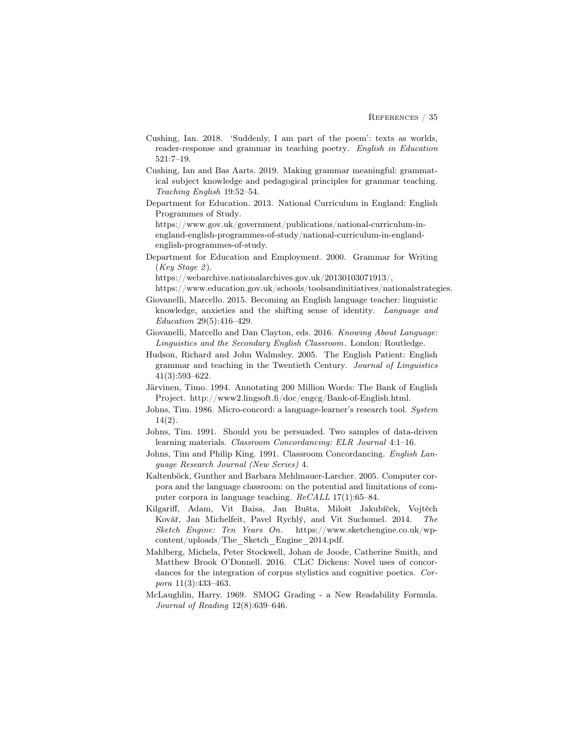- Cushing, Ian. 2018. 'Suddenly, I am part of the poem': texts as worlds, reader-response and grammar in teaching poetry. *English in Education* 521:7–19.
- Cushing, Ian and Bas Aarts. 2019. Making grammar meaningful: grammatical subject knowledge and pedagogical principles for grammar teaching. *Teaching English* 19:52–54.
- Department for Education. 2013. National Curriculum in England: English Programmes of Study.

https://www.gov.uk/government/publications/national-curriculum-inengland-english-programmes-of-study/national-curriculum-in-englandenglish-programmes-of-study.

Department for Education and Employment. 2000. Grammar for Writing (*Key Stage 2* ).

https://webarchive.nationalarchives.gov.uk/20130103071913/,

- https://www.education.gov.uk/schools/toolsandinitiatives/nationalstrategies.
- Giovanelli, Marcello. 2015. Becoming an English language teacher: linguistic knowledge, anxieties and the shifting sense of identity. *Language and Education* 29(5):416–429.

Giovanelli, Marcello and Dan Clayton, eds. 2016. *Knowing About Language: Linguistics and the Secondary English Classroom*. London: Routledge.

- Hudson, Richard and John Walmsley. 2005. The English Patient: English grammar and teaching in the Twentieth Century. *Journal of Linguistics* 41(3):593–622.
- Järvinen, Timo. 1994. Annotating 200 Million Words: The Bank of English Project. http://www2.lingsoft.fi/doc/engcg/Bank-of-English.html.
- Johns, Tim. 1986. Micro-concord: a language-learner's research tool. *System* 14(2).
- Johns, Tim. 1991. Should you be persuaded. Two samples of data-driven learning materials. *Classroom Concordancing: ELR Journal* 4:1–16.
- Johns, Tim and Philip King. 1991. Classroom Concordancing. *English Language Research Journal (New Series)* 4.
- Kaltenböck, Gunther and Barbara Mehlmauer-Larcher. 2005. Computer corpora and the language classroom: on the potential and limitations of computer corpora in language teaching. *ReCALL* 17(1):65–84.
- Kilgariff, Adam, Vit Baisa, Jan Bušta, Milošt Jakubíček, Vojtěch Ková˘r, Jan Michelfeit, Pavel Rychlý, and Vit Suchomel. 2014. *The Sketch Engine: Ten Years On*. https://www.sketchengine.co.uk/wpcontent/uploads/The\_Sketch\_Engine\_2014.pdf.
- Mahlberg, Michela, Peter Stockwell, Johan de Joode, Catherine Smith, and Matthew Brook O'Donnell. 2016. CLiC Dickens: Novel uses of concordances for the integration of corpus stylistics and cognitive poetics. *Corpora* 11(3):433–463.
- McLaughlin, Harry. 1969. SMOG Grading a New Readability Formula. *Journal of Reading* 12(8):639–646.